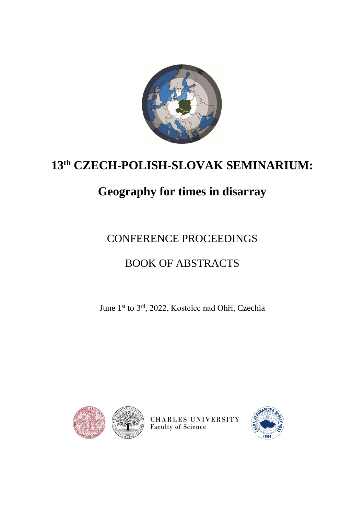

# **13th CZECH-POLISH-SLOVAK SEMINARIUM:**

# **Geography for times in disarray**

# CONFERENCE PROCEEDINGS

# BOOK OF ABSTRACTS

June 1<sup>st</sup> to 3<sup>rd</sup>, 2022, Kostelec nad Ohří, Czechia



CHARLES UNIVERSITY **Faculty of Science** 

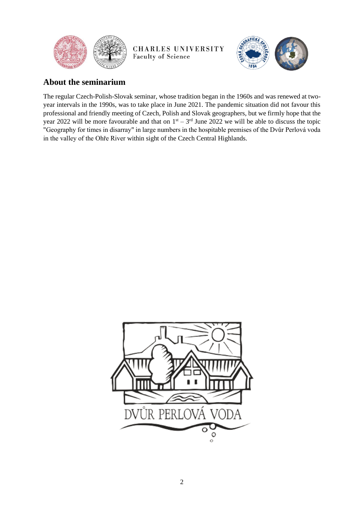



# **About the seminarium**

The regular Czech-Polish-Slovak seminar, whose tradition began in the 1960s and was renewed at twoyear intervals in the 1990s, was to take place in June 2021. The pandemic situation did not favour this professional and friendly meeting of Czech, Polish and Slovak geographers, but we firmly hope that the year 2022 will be more favourable and that on  $1<sup>st</sup> - 3<sup>rd</sup>$  June 2022 we will be able to discuss the topic "Geography for times in disarray" in large numbers in the hospitable premises of the Dvůr Perlová voda in the valley of the Ohře River within sight of the Czech Central Highlands.

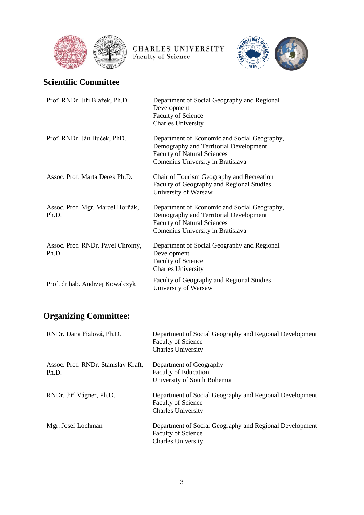



# **Scientific Committee**

| Prof. RNDr. Jiří Blažek, Ph.D.            | Department of Social Geography and Regional<br>Development<br><b>Faculty of Science</b><br><b>Charles University</b>                                              |
|-------------------------------------------|-------------------------------------------------------------------------------------------------------------------------------------------------------------------|
| Prof. RNDr. Ján Buček, PhD.               | Department of Economic and Social Geography,<br>Demography and Territorial Development<br><b>Faculty of Natural Sciences</b><br>Comenius University in Bratislava |
| Assoc. Prof. Marta Derek Ph.D.            | Chair of Tourism Geography and Recreation<br>Faculty of Geography and Regional Studies<br>University of Warsaw                                                    |
| Assoc. Prof. Mgr. Marcel Horňák,<br>Ph.D. | Department of Economic and Social Geography,<br>Demography and Territorial Development<br><b>Faculty of Natural Sciences</b><br>Comenius University in Bratislava |
| Assoc. Prof. RNDr. Pavel Chromý,<br>Ph.D. | Department of Social Geography and Regional<br>Development<br><b>Faculty of Science</b><br><b>Charles University</b>                                              |
| Prof. dr hab. Andrzej Kowalczyk           | Faculty of Geography and Regional Studies<br>University of Warsaw                                                                                                 |

# **Organizing Committee:**

| RNDr. Dana Fialová, Ph.D.                    | Department of Social Geography and Regional Development<br><b>Faculty of Science</b><br><b>Charles University</b> |
|----------------------------------------------|-------------------------------------------------------------------------------------------------------------------|
| Assoc. Prof. RNDr. Stanislav Kraft,<br>Ph.D. | Department of Geography<br><b>Faculty of Education</b><br>University of South Bohemia                             |
| RNDr. Jiří Vágner, Ph.D.                     | Department of Social Geography and Regional Development<br><b>Faculty of Science</b><br><b>Charles University</b> |
| Mgr. Josef Lochman                           | Department of Social Geography and Regional Development<br><b>Faculty of Science</b><br><b>Charles University</b> |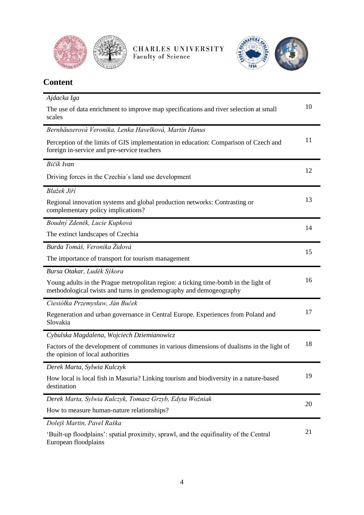



| <b>Content</b>                                                                                                                                            |    |
|-----------------------------------------------------------------------------------------------------------------------------------------------------------|----|
| Ajdacka Iga                                                                                                                                               |    |
| The use of data enrichment to improve map specifications and river selection at small<br>scales                                                           | 10 |
| Bernhäuserová Veronika, Lenka Havelková, Martin Hanus                                                                                                     |    |
| Perception of the limits of GIS implementation in education: Comparison of Czech and<br>foreign in-service and pre-service teachers                       | 11 |
| Bičík Ivan                                                                                                                                                |    |
| Driving forces in the Czechia's land use development                                                                                                      | 12 |
| Blažek Jiří                                                                                                                                               |    |
| Regional innovation systems and global production networks: Contrasting or<br>complementary policy implications?                                          | 13 |
| Boudný Zdeněk, Lucie Kupková                                                                                                                              | 14 |
| The extinct landscapes of Czechia                                                                                                                         |    |
| Burda Tomáš, Veronika Židová                                                                                                                              | 15 |
| The importance of transport for tourism management                                                                                                        |    |
| Bursa Otakar, Luděk Sýkora                                                                                                                                |    |
| Young adults in the Prague metropolitan region: a ticking time-bomb in the light of<br>methodological twists and turns in geodemography and demogeography | 16 |
| Ciesiółka Przemysław, Ján Buček                                                                                                                           |    |
| Regeneration and urban governance in Central Europe. Experiences from Poland and<br>Slovakia                                                              | 17 |
| Cybulska Magdalena, Wojciech Dziemianowicz                                                                                                                |    |
| Factors of the development of communes in various dimensions of dualisms in the light of<br>the opinion of local authorities                              | 18 |
| Derek Marta, Sylwia Kulczyk                                                                                                                               |    |
| How local is local fish in Masuria? Linking tourism and biodiversity in a nature-based<br>destination                                                     | 19 |
| Derek Marta, Sylwia Kulczyk, Tomasz Grzyb, Edyta Woźniak                                                                                                  | 20 |
| How to measure human-nature relationships?                                                                                                                |    |
| Dolejš Martin, Pavel Raška                                                                                                                                |    |
| 'Built-up floodplains': spatial proximity, sprawl, and the equifinality of the Central<br>European floodplains                                            | 21 |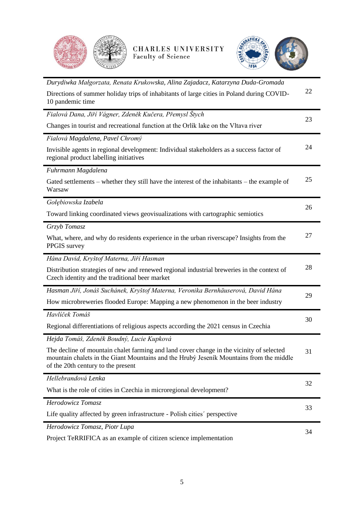



| Durydiwka Małgorzata, Renata Krukowska, Alina Zajadacz, Katarzyna Duda-Gromada                                                                                                                                            |    |
|---------------------------------------------------------------------------------------------------------------------------------------------------------------------------------------------------------------------------|----|
| Directions of summer holiday trips of inhabitants of large cities in Poland during COVID-<br>10 pandemic time                                                                                                             | 22 |
| Fialová Dana, Jiří Vágner, Zdeněk Kučera, Přemysl Štych                                                                                                                                                                   | 23 |
| Changes in tourist and recreational function at the Orlik lake on the Vltava river                                                                                                                                        |    |
| Fialová Magdalena, Pavel Chromý                                                                                                                                                                                           |    |
| Invisible agents in regional development: Individual stakeholders as a success factor of<br>regional product labelling initiatives                                                                                        | 24 |
| Fuhrmann Magdalena                                                                                                                                                                                                        |    |
| Gated settlements – whether they still have the interest of the inhabitants – the example of<br>Warsaw                                                                                                                    | 25 |
| Gołębiowska Izabela                                                                                                                                                                                                       | 26 |
| Toward linking coordinated views geovisualizations with cartographic semiotics                                                                                                                                            |    |
| Grzyb Tomasz                                                                                                                                                                                                              |    |
| What, where, and why do residents experience in the urban riverscape? Insights from the<br>PPGIS survey                                                                                                                   | 27 |
| Hána David, Kryštof Materna, Jiří Hasman                                                                                                                                                                                  |    |
| Distribution strategies of new and renewed regional industrial breweries in the context of<br>Czech identity and the traditional beer market                                                                              | 28 |
| Hasman Jiří, Jonáš Suchánek, Kryštof Materna, Veronika Bernhäuserová, David Hána                                                                                                                                          | 29 |
| How microbreweries flooded Europe: Mapping a new phenomenon in the beer industry                                                                                                                                          |    |
| Havlíček Tomáš                                                                                                                                                                                                            | 30 |
| Regional differentiations of religious aspects according the 2021 census in Czechia                                                                                                                                       |    |
| Hejda Tomáš, Zdeněk Boudný, Lucie Kupková                                                                                                                                                                                 |    |
| The decline of mountain chalet farming and land cover change in the vicinity of selected<br>mountain chalets in the Giant Mountains and the Hruby Jeseník Mountains from the middle<br>of the 20th century to the present | 31 |
| Hellebrandová Lenka                                                                                                                                                                                                       | 32 |
| What is the role of cities in Czechia in microregional development?                                                                                                                                                       |    |
| Herodowicz Tomasz                                                                                                                                                                                                         | 33 |
| Life quality affected by green infrastructure - Polish cities' perspective                                                                                                                                                |    |
| Herodowicz Tomasz, Piotr Lupa                                                                                                                                                                                             | 34 |
|                                                                                                                                                                                                                           |    |

[Project TeRRIFICA as an example of citizen](#page-33-0) science implementation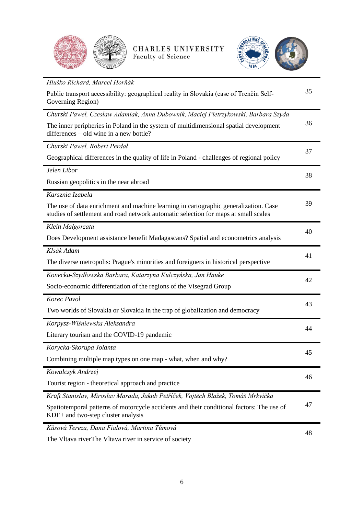



| Hluško Richard, Marcel Horňák                                                                                                                                               |    |
|-----------------------------------------------------------------------------------------------------------------------------------------------------------------------------|----|
| Public transport accessibility: geographical reality in Slovakia (case of Trenčín Self-<br>Governing Region)                                                                | 35 |
| Churski Paweł, Czesław Adamiak, Anna Dubownik, Maciej Pietrzykowski, Barbara Szyda                                                                                          |    |
| The inner peripheries in Poland in the system of multidimensional spatial development<br>differences - old wine in a new bottle?                                            | 36 |
| Churski Paweł, Robert Perdał                                                                                                                                                |    |
| Geographical differences in the quality of life in Poland - challenges of regional policy                                                                                   | 37 |
| Jelen Libor                                                                                                                                                                 | 38 |
| Russian geopolitics in the near abroad                                                                                                                                      |    |
| Karsznia Izabela                                                                                                                                                            |    |
| The use of data enrichment and machine learning in cartographic generalization. Case<br>studies of settlement and road network automatic selection for maps at small scales | 39 |
| Klein Małgorzata                                                                                                                                                            | 40 |
| Does Development assistance benefit Madagascans? Spatial and econometrics analysis                                                                                          |    |
| Klsák Adam                                                                                                                                                                  | 41 |
| The diverse metropolis: Prague's minorities and foreigners in historical perspective                                                                                        |    |
| Konecka-Szydłowska Barbara, Katarzyna Kulczyńska, Jan Hauke                                                                                                                 | 42 |
| Socio-economic differentiation of the regions of the Visegrad Group                                                                                                         |    |
| Korec Pavol                                                                                                                                                                 | 43 |
| Two worlds of Slovakia or Slovakia in the trap of globalization and democracy                                                                                               |    |
| Korpysz-Wiśniewska Aleksandra                                                                                                                                               | 44 |
| Literary tourism and the COVID-19 pandemic                                                                                                                                  |    |
| Korycka-Skorupa Jolanta                                                                                                                                                     | 45 |
| Combining multiple map types on one map - what, when and why?                                                                                                               |    |
| Kowalczyk Andrzej                                                                                                                                                           | 46 |
| Tourist region - theoretical approach and practice                                                                                                                          |    |
| Kraft Stanislav, Miroslav Marada, Jakub Petříček, Vojtěch Blažek, Tomáš Mrkvička                                                                                            |    |
| Spatiotemporal patterns of motorcycle accidents and their conditional factors: The use of<br>KDE+ and two-step cluster analysis                                             | 47 |
| Kůsová Tereza, Dana Fialová, Martina Tůmová                                                                                                                                 | 48 |
|                                                                                                                                                                             |    |

The Vltava riverThe Vltava river [in service of society](#page-47-0)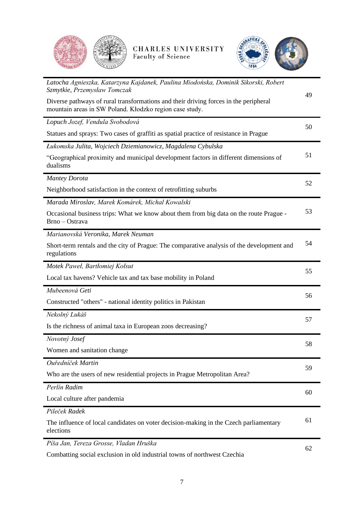



| Latocha Agnieszka, Katarzyna Kajdanek, Paulina Miodońska, Dominik Sikorski, Robert<br>Szmytkie, Przemysław Tomczak                              |    |
|-------------------------------------------------------------------------------------------------------------------------------------------------|----|
| Diverse pathways of rural transformations and their driving forces in the peripheral<br>mountain areas in SW Poland. Kłodzko region case study. | 49 |
| Lopuch Jozef, Vendula Svobodová                                                                                                                 | 50 |
| Statues and sprays: Two cases of graffiti as spatial practice of resistance in Prague                                                           |    |
| Łukomska Julita, Wojciech Dziemianowicz, Magdalena Cybulska                                                                                     |    |
| "Geographical proximity and municipal development factors in different dimensions of<br>dualisms                                                | 51 |
| <b>Mantey Dorota</b>                                                                                                                            | 52 |
| Neighborhood satisfaction in the context of retrofitting suburbs                                                                                |    |
| Marada Miroslav, Marek Komárek, Michal Kowalski                                                                                                 |    |
| Occasional business trips: What we know about them from big data on the route Prague -<br>Brno - Ostrava                                        | 53 |
| Marianovská Veronika, Marek Neuman                                                                                                              |    |
| Short-term rentals and the city of Prague: The comparative analysis of the development and<br>regulations                                       | 54 |
| Motek Paweł, Bartłomiej Kołsut                                                                                                                  | 55 |
| Local tax havens? Vehicle tax and tax base mobility in Poland                                                                                   |    |
| Mubeenová Geti                                                                                                                                  | 56 |
| Constructed "others" - national identity politics in Pakistan                                                                                   |    |
| Nekolný Lukáš                                                                                                                                   | 57 |
| Is the richness of animal taxa in European zoos decreasing?                                                                                     |    |
| Novotný Josef                                                                                                                                   | 58 |
| Women and sanitation change                                                                                                                     |    |
| Ouředníček Martin                                                                                                                               | 59 |
| Who are the users of new residential projects in Prague Metropolitan Area?                                                                      |    |
| Perlín Radim                                                                                                                                    | 60 |
| Local culture after pandemia                                                                                                                    |    |
| Pileček Radek                                                                                                                                   |    |
| The influence of local candidates on voter decision-making in the Czech parliamentary<br>elections                                              | 61 |
| Píša Jan, Tereza Grosse, Vladan Hruška                                                                                                          | 62 |
| Combatting social exclusion in old industrial towns of northwest Czechia                                                                        |    |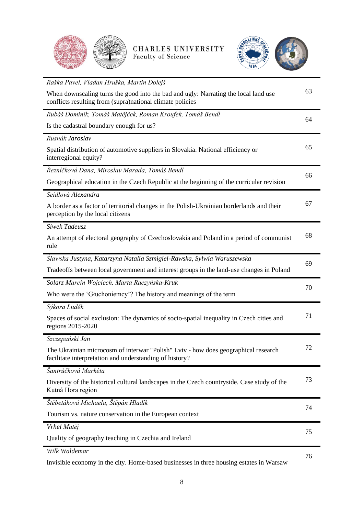



| Raška Pavel, Vladan Hruška, Martin Dolejš                                                                                                        |    |
|--------------------------------------------------------------------------------------------------------------------------------------------------|----|
| When downscaling turns the good into the bad and ugly: Narrating the local land use<br>conflicts resulting from (supra)national climate policies | 63 |
| Rubáš Dominik, Tomáš Matějček, Roman Kroufek, Tomáš Bendl                                                                                        | 64 |
| Is the cadastral boundary enough for us?                                                                                                         |    |
| Rusnák Jaroslav                                                                                                                                  |    |
| Spatial distribution of automotive suppliers in Slovakia. National efficiency or<br>interregional equity?                                        | 65 |
| Řezníčková Dana, Miroslav Marada, Tomáš Bendl                                                                                                    | 66 |
| Geographical education in the Czech Republic at the beginning of the curricular revision                                                         |    |
| Seidlová Alexandra                                                                                                                               |    |
| A border as a factor of territorial changes in the Polish-Ukrainian borderlands and their<br>perception by the local citizens                    | 67 |
| Siwek Tadeusz                                                                                                                                    |    |
| An attempt of electoral geography of Czechoslovakia and Poland in a period of communist<br>rule                                                  | 68 |
| Slawska Justyna, Katarzyna Natalia Szmigiel-Rawska, Sylwia Waruszewska                                                                           | 69 |
| Tradeoffs between local government and interest groups in the land-use changes in Poland                                                         |    |
| Solarz Marcin Wojciech, Marta Raczyńska-Kruk                                                                                                     | 70 |
| Who were the 'Gluchoniemcy'? The history and meanings of the term                                                                                |    |
| Sýkora Luděk                                                                                                                                     |    |
| Spaces of social exclusion: The dynamics of socio-spatial inequality in Czech cities and<br>regions 2015-2020                                    | 71 |
| Szczepański Jan                                                                                                                                  |    |
| The Ukrainian microcosm of interwar "Polish" Lviv - how does geographical research<br>facilitate interpretation and understanding of history?    | 72 |
| Šantrůčková Markéta                                                                                                                              |    |
| Diversity of the historical cultural landscapes in the Czech countryside. Case study of the<br>Kutná Hora region                                 | 73 |
| Štěbetáková Michaela, Štěpán Hladík                                                                                                              | 74 |
| Tourism vs. nature conservation in the European context                                                                                          |    |
| Vrhel Matěj                                                                                                                                      | 75 |
| Quality of geography teaching in Czechia and Ireland                                                                                             |    |
| Wilk Waldemar                                                                                                                                    | 76 |
|                                                                                                                                                  |    |

[Invisible economy in the city. Home-based businesses in three housing estates in Warsaw](#page-75-0)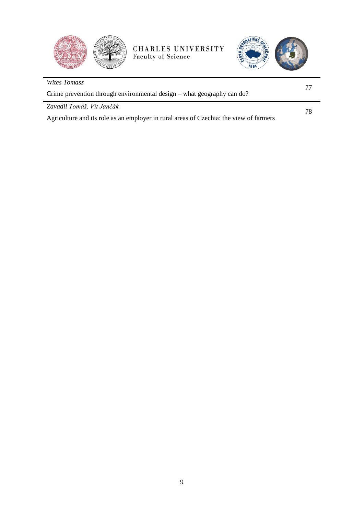



| Wites Tomasz                                                                           |    |  |
|----------------------------------------------------------------------------------------|----|--|
| Crime prevention through environmental design – what geography can do?                 |    |  |
| Zavadil Tomáš, Vít Jančák                                                              | 78 |  |
| Agriculture and its role as an employer in rural areas of Czechia: the view of farmers |    |  |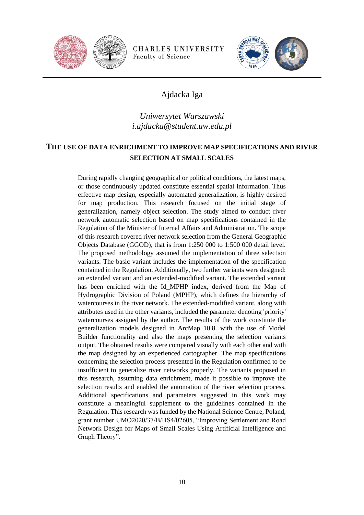



# Ajdacka Iga

# *Uniwersytet Warszawski i.ajdacka@student.uw.edu.pl*

#### <span id="page-9-0"></span>**THE USE OF DATA ENRICHMENT TO IMPROVE MAP SPECIFICATIONS AND RIVER SELECTION AT SMALL SCALES**

During rapidly changing geographical or political conditions, the latest maps, or those continuously updated constitute essential spatial information. Thus effective map design, especially automated generalization, is highly desired for map production. This research focused on the initial stage of generalization, namely object selection. The study aimed to conduct river network automatic selection based on map specifications contained in the Regulation of the Minister of Internal Affairs and Administration. The scope of this research covered river network selection from the General Geographic Objects Database (GGOD), that is from 1:250 000 to 1:500 000 detail level. The proposed methodology assumed the implementation of three selection variants. The basic variant includes the implementation of the specification contained in the Regulation. Additionally, two further variants were designed: an extended variant and an extended-modified variant. The extended variant has been enriched with the Id\_MPHP index, derived from the Map of Hydrographic Division of Poland (MPHP), which defines the hierarchy of watercourses in the river network. The extended-modified variant, along with attributes used in the other variants, included the parameter denoting 'priority' watercourses assigned by the author. The results of the work constitute the generalization models designed in ArcMap 10.8. with the use of Model Builder functionality and also the maps presenting the selection variants output. The obtained results were compared visually with each other and with the map designed by an experienced cartographer. The map specifications concerning the selection process presented in the Regulation confirmed to be insufficient to generalize river networks properly. The variants proposed in this research, assuming data enrichment, made it possible to improve the selection results and enabled the automation of the river selection process. Additional specifications and parameters suggested in this work may constitute a meaningful supplement to the guidelines contained in the Regulation. This research was funded by the National Science Centre, Poland, grant number UMO2020/37/B/HS4/02605, "Improving Settlement and Road Network Design for Maps of Small Scales Using Artificial Intelligence and Graph Theory".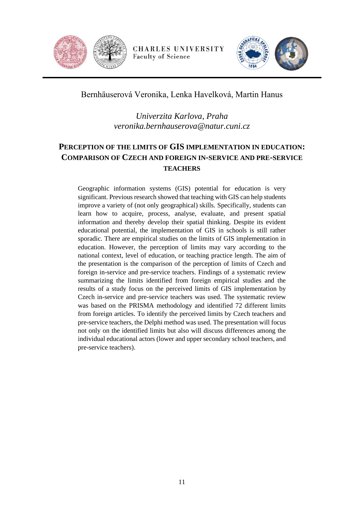



Bernhäuserová Veronika, Lenka Havelková, Martin Hanus

*Univerzita Karlova, Praha veronika.bernhauserova@natur.cuni.cz*

# <span id="page-10-0"></span>**PERCEPTION OF THE LIMITS OF GIS IMPLEMENTATION IN EDUCATION: COMPARISON OF CZECH AND FOREIGN IN-SERVICE AND PRE-SERVICE TEACHERS**

Geographic information systems (GIS) potential for education is very significant. Previous research showed that teaching with GIS can help students improve a variety of (not only geographical) skills. Specifically, students can learn how to acquire, process, analyse, evaluate, and present spatial information and thereby develop their spatial thinking. Despite its evident educational potential, the implementation of GIS in schools is still rather sporadic. There are empirical studies on the limits of GIS implementation in education. However, the perception of limits may vary according to the national context, level of education, or teaching practice length. The aim of the presentation is the comparison of the perception of limits of Czech and foreign in-service and pre-service teachers. Findings of a systematic review summarizing the limits identified from foreign empirical studies and the results of a study focus on the perceived limits of GIS implementation by Czech in-service and pre-service teachers was used. The systematic review was based on the PRISMA methodology and identified 72 different limits from foreign articles. To identify the perceived limits by Czech teachers and pre-service teachers, the Delphi method was used. The presentation will focus not only on the identified limits but also will discuss differences among the individual educational actors (lower and upper secondary school teachers, and pre-service teachers).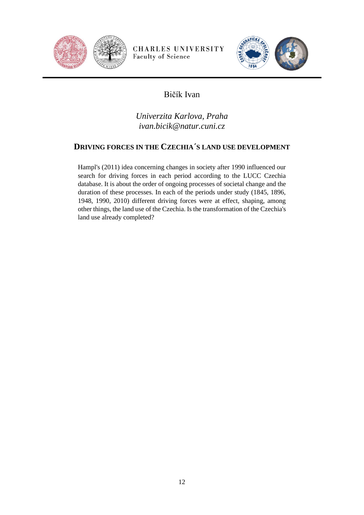



# Bičík Ivan

*Univerzita Karlova, Praha ivan.bicik@natur.cuni.cz*

#### <span id="page-11-0"></span>**DRIVING FORCES IN THE CZECHIA´S LAND USE DEVELOPMENT**

Hampl's (2011) idea concerning changes in society after 1990 influenced our search for driving forces in each period according to the LUCC Czechia database. It is about the order of ongoing processes of societal change and the duration of these processes. In each of the periods under study (1845, 1896, 1948, 1990, 2010) different driving forces were at effect, shaping, among other things, the land use of the Czechia. Is the transformation of the Czechia's land use already completed?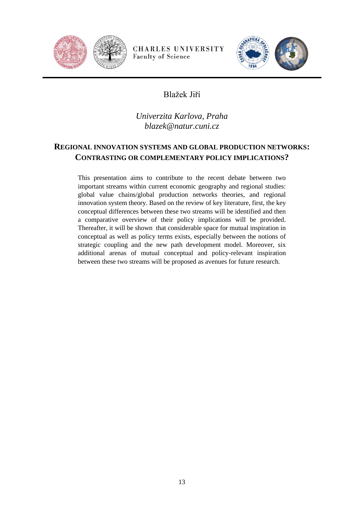



# Blažek Jiří

*Univerzita Karlova, Praha blazek@natur.cuni.cz*

# <span id="page-12-0"></span>**REGIONAL INNOVATION SYSTEMS AND GLOBAL PRODUCTION NETWORKS: CONTRASTING OR COMPLEMENTARY POLICY IMPLICATIONS?**

This presentation aims to contribute to the recent debate between two important streams within current economic geography and regional studies: global value chains/global production networks theories, and regional innovation system theory. Based on the review of key literature, first, the key conceptual differences between these two streams will be identified and then a comparative overview of their policy implications will be provided. Thereafter, it will be shown that considerable space for mutual inspiration in conceptual as well as policy terms exists, especially between the notions of strategic coupling and the new path development model. Moreover, six additional arenas of mutual conceptual and policy-relevant inspiration between these two streams will be proposed as avenues for future research.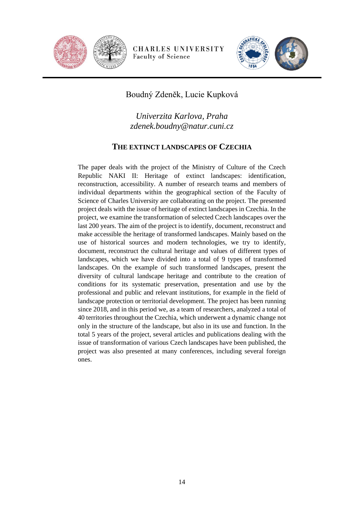



Boudný Zdeněk, Lucie Kupková

*Univerzita Karlova, Praha zdenek.boudny@natur.cuni.cz*

#### **THE EXTINCT LANDSCAPES OF CZECHIA**

<span id="page-13-0"></span>The paper deals with the project of the Ministry of Culture of the Czech Republic NAKI II: Heritage of extinct landscapes: identification, reconstruction, accessibility. A number of research teams and members of individual departments within the geographical section of the Faculty of Science of Charles University are collaborating on the project. The presented project deals with the issue of heritage of extinct landscapes in Czechia. In the project, we examine the transformation of selected Czech landscapes over the last 200 years. The aim of the project is to identify, document, reconstruct and make accessible the heritage of transformed landscapes. Mainly based on the use of historical sources and modern technologies, we try to identify, document, reconstruct the cultural heritage and values of different types of landscapes, which we have divided into a total of 9 types of transformed landscapes. On the example of such transformed landscapes, present the diversity of cultural landscape heritage and contribute to the creation of conditions for its systematic preservation, presentation and use by the professional and public and relevant institutions, for example in the field of landscape protection or territorial development. The project has been running since 2018, and in this period we, as a team of researchers, analyzed a total of 40 territories throughout the Czechia, which underwent a dynamic change not only in the structure of the landscape, but also in its use and function. In the total 5 years of the project, several articles and publications dealing with the issue of transformation of various Czech landscapes have been published, the project was also presented at many conferences, including several foreign ones.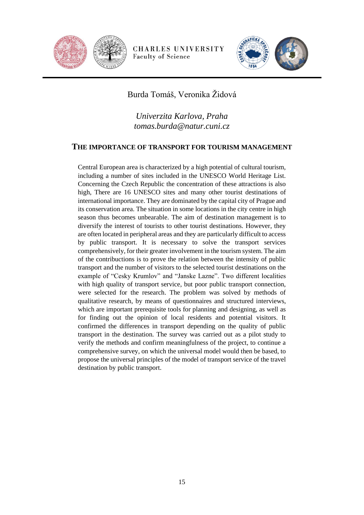



# Burda Tomáš, Veronika Židová

*Univerzita Karlova, Praha tomas.burda@natur.cuni.cz*

#### <span id="page-14-0"></span>**THE IMPORTANCE OF TRANSPORT FOR TOURISM MANAGEMENT**

Central European area is characterized by a high potential of cultural tourism, including a number of sites included in the UNESCO World Heritage List. Concerning the Czech Republic the concentration of these attractions is also high, There are 16 UNESCO sites and many other tourist destinations of international importance. They are dominated by the capital city of Prague and its conservation area. The situation in some locations in the city centre in high season thus becomes unbearable. The aim of destination management is to diversify the interest of tourists to other tourist destinations. However, they are often located in peripheral areas and they are particularly difficult to access by public transport. It is necessary to solve the transport services comprehensively, for their greater involvement in the tourism system. The aim of the contribuctions is to prove the relation between the intensity of public transport and the number of visitors to the selected tourist destinations on the example of "Cesky Krumlov" and "Janske Lazne". Two different localities with high quality of transport service, but poor public transport connection, were selected for the research. The problem was solved by methods of qualitative research, by means of questionnaires and structured interviews, which are important prerequisite tools for planning and designing, as well as for finding out the opinion of local residents and potential visitors. It confirmed the differences in transport depending on the quality of public transport in the destination. The survey was carried out as a pilot study to verify the methods and confirm meaningfulness of the project, to continue a comprehensive survey, on which the universal model would then be based, to propose the universal principles of the model of transport service of the travel destination by public transport.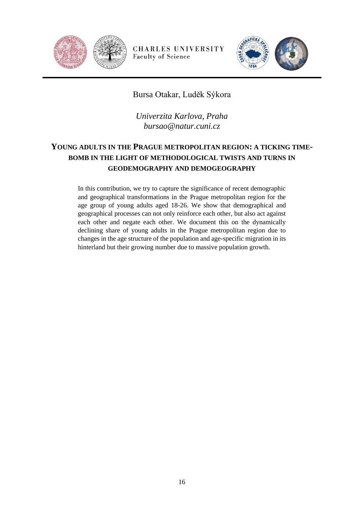



Bursa Otakar, Luděk Sýkora

*Univerzita Karlova, Praha bursao@natur.cuni.cz*

# <span id="page-15-0"></span>**YOUNG ADULTS IN THE PRAGUE METROPOLITAN REGION: A TICKING TIME-BOMB IN THE LIGHT OF METHODOLOGICAL TWISTS AND TURNS IN GEODEMOGRAPHY AND DEMOGEOGRAPHY**

In this contribution, we try to capture the significance of recent demographic and geographical transformations in the Prague metropolitan region for the age group of young adults aged 18-26. We show that demographical and geographical processes can not only reinforce each other, but also act against each other and negate each other. We document this on the dynamically declining share of young adults in the Prague metropolitan region due to changes in the age structure of the population and age-specific migration in its hinterland but their growing number due to massive population growth.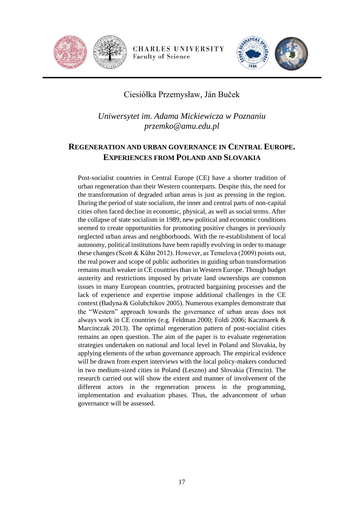



# Ciesiółka Przemysław, Ján Buček

*Uniwersytet im. Adama Mickiewicza w Poznaniu przemko@amu.edu.pl*

# <span id="page-16-0"></span>**REGENERATION AND URBAN GOVERNANCE IN CENTRAL EUROPE. EXPERIENCES FROM POLAND AND SLOVAKIA**

Post-socialist countries in Central Europe (CE) have a shorter tradition of urban regeneration than their Western counterparts. Despite this, the need for the transformation of degraded urban areas is just as pressing in the region. During the period of state socialism, the inner and central parts of non-capital cities often faced decline in economic, physical, as well as social terms. After the collapse of state socialism in 1989, new political and economic conditions seemed to create opportunities for promoting positive changes in previously neglected urban areas and neighborhoods. With the re-establishment of local autonomy, political institutions have been rapidly evolving in order to manage these changes (Scott & Kühn 2012). However, as Temelova (2009) points out, the real power and scope of public authorities in guiding urban transformation remains much weaker in CE countries than in Western Europe. Though budget austerity and restrictions imposed by private land ownerships are common issues in many European countries, protracted bargaining processes and the lack of experience and expertise impose additional challenges in the CE context (Badyna & Golubchikov 2005). Numerous examples demonstrate that the "Western" approach towards the governance of urban areas does not always work in CE countries (e.g. Feldman 2000; Foldi 2006; Kaczmarek & Marcinczak 2013). The optimal regeneration pattern of post-socialist cities remains an open question. The aim of the paper is to evaluate regeneration strategies undertaken on national and local level in Poland and Slovakia, by applying elements of the urban governance approach. The empirical evidence will be drawn from expert interviews with the local policy-makers conducted in two medium-sized cities in Poland (Leszno) and Slovakia (Trencin). The research carried out will show the extent and manner of involvement of the different actors in the regeneration process in the programming, implementation and evaluation phases. Thus, the advancement of urban governance will be assessed.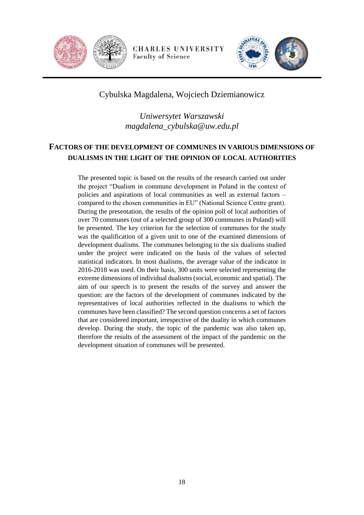



# Cybulska Magdalena, Wojciech Dziemianowicz

*Uniwersytet Warszawski magdalena\_cybulska@uw.edu.pl*

# <span id="page-17-0"></span>**FACTORS OF THE DEVELOPMENT OF COMMUNES IN VARIOUS DIMENSIONS OF DUALISMS IN THE LIGHT OF THE OPINION OF LOCAL AUTHORITIES**

The presented topic is based on the results of the research carried out under the project "Dualism in commune development in Poland in the context of policies and aspirations of local communities as well as external factors – compared to the chosen communities in EU" (National Science Centre grant). During the presentation, the results of the opinion poll of local authorities of over 70 communes (out of a selected group of 300 communes in Poland) will be presented. The key criterion for the selection of communes for the study was the qualification of a given unit to one of the examined dimensions of development dualisms. The communes belonging to the six dualisms studied under the project were indicated on the basis of the values of selected statistical indicators. In most dualisms, the average value of the indicator in 2016-2018 was used. On their basis, 300 units were selected representing the extreme dimensions of individual dualisms (social, economic and spatial). The aim of our speech is to present the results of the survey and answer the question: are the factors of the development of communes indicated by the representatives of local authorities reflected in the dualisms to which the communes have been classified? The second question concerns a set of factors that are considered important, irrespective of the duality in which communes develop. During the study, the topic of the pandemic was also taken up, therefore the results of the assessment of the impact of the pandemic on the development situation of communes will be presented.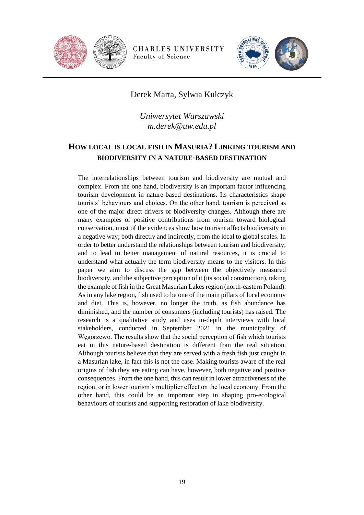



# Derek Marta, Sylwia Kulczyk

*Uniwersytet Warszawski m.derek@uw.edu.pl*

# <span id="page-18-0"></span>**HOW LOCAL IS LOCAL FISH IN MASURIA? LINKING TOURISM AND BIODIVERSITY IN A NATURE-BASED DESTINATION**

The interrelationships between tourism and biodiversity are mutual and complex. From the one hand, biodiversity is an important factor influencing tourism development in nature-based destinations. Its characteristics shape tourists' behaviours and choices. On the other hand, tourism is perceived as one of the major direct drivers of biodiversity changes. Although there are many examples of positive contributions from tourism toward biological conservation, most of the evidences show how tourism affects biodiversity in a negative way; both directly and indirectly, from the local to global scales. In order to better understand the relationships between tourism and biodiversity, and to lead to better management of natural resources, it is crucial to understand what actually the term biodiversity means to the visitors. In this paper we aim to discuss the gap between the objectively measured biodiversity, and the subjective perception of it (its social construction), taking the example of fish in the Great Masurian Lakes region (north-eastern Poland). As in any lake region, fish used to be one of the main pillars of local economy and diet. This is, however, no longer the truth, as fish abundance has diminished, and the number of consumers (including tourists) has raised. The research is a qualitative study and uses in-depth interviews with local stakeholders, conducted in September 2021 in the municipality of Węgorzewo. The results show that the social perception of fish which tourists eat in this nature-based destination is different than the real situation. Although tourists believe that they are served with a fresh fish just caught in a Masurian lake, in fact this is not the case. Making tourists aware of the real origins of fish they are eating can have, however, both negative and positive consequences. From the one hand, this can result in lower attractiveness of the region, or in lower tourism's multiplier effect on the local economy. From the other hand, this could be an important step in shaping pro-ecological behaviours of tourists and supporting restoration of lake biodiversity.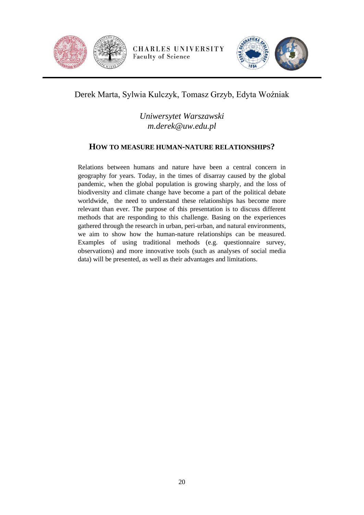



# Derek Marta, Sylwia Kulczyk, Tomasz Grzyb, Edyta Woźniak

# *Uniwersytet Warszawski m.derek@uw.edu.pl*

#### <span id="page-19-0"></span>**HOW TO MEASURE HUMAN-NATURE RELATIONSHIPS?**

Relations between humans and nature have been a central concern in geography for years. Today, in the times of disarray caused by the global pandemic, when the global population is growing sharply, and the loss of biodiversity and climate change have become a part of the political debate worldwide, the need to understand these relationships has become more relevant than ever. The purpose of this presentation is to discuss different methods that are responding to this challenge. Basing on the experiences gathered through the research in urban, peri-urban, and natural environments, we aim to show how the human-nature relationships can be measured. Examples of using traditional methods (e.g. questionnaire survey, observations) and more innovative tools (such as analyses of social media data) will be presented, as well as their advantages and limitations.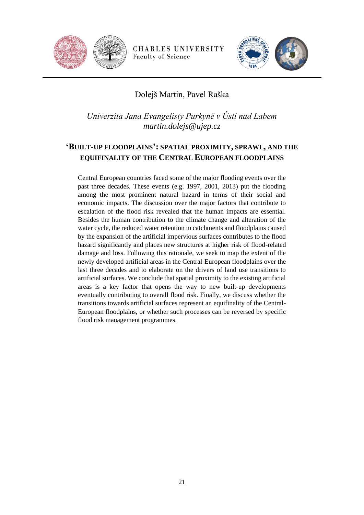



# Dolejš Martin, Pavel Raška

*Univerzita Jana Evangelisty Purkyně v Ústí nad Labem martin.dolejs@ujep.cz*

# <span id="page-20-0"></span>**'BUILT-UP FLOODPLAINS': SPATIAL PROXIMITY, SPRAWL, AND THE EQUIFINALITY OF THE CENTRAL EUROPEAN FLOODPLAINS**

Central European countries faced some of the major flooding events over the past three decades. These events (e.g. 1997, 2001, 2013) put the flooding among the most prominent natural hazard in terms of their social and economic impacts. The discussion over the major factors that contribute to escalation of the flood risk revealed that the human impacts are essential. Besides the human contribution to the climate change and alteration of the water cycle, the reduced water retention in catchments and floodplains caused by the expansion of the artificial impervious surfaces contributes to the flood hazard significantly and places new structures at higher risk of flood-related damage and loss. Following this rationale, we seek to map the extent of the newly developed artificial areas in the Central-European floodplains over the last three decades and to elaborate on the drivers of land use transitions to artificial surfaces. We conclude that spatial proximity to the existing artificial areas is a key factor that opens the way to new built-up developments eventually contributing to overall flood risk. Finally, we discuss whether the transitions towards artificial surfaces represent an equifinality of the Central-European floodplains, or whether such processes can be reversed by specific flood risk management programmes.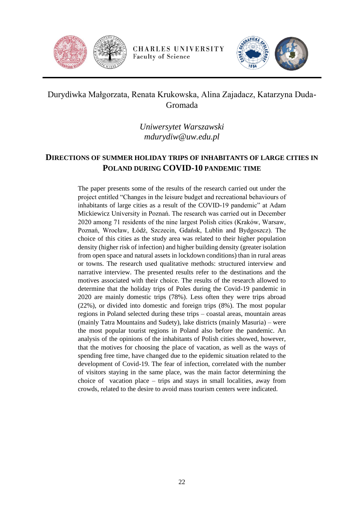



# Durydiwka Małgorzata, Renata Krukowska, Alina Zajadacz, Katarzyna Duda-Gromada

*Uniwersytet Warszawski mdurydiw@uw.edu.pl*

# <span id="page-21-0"></span>**DIRECTIONS OF SUMMER HOLIDAY TRIPS OF INHABITANTS OF LARGE CITIES IN POLAND DURING COVID-10 PANDEMIC TIME**

The paper presents some of the results of the research carried out under the project entitled "Changes in the leisure budget and recreational behaviours of inhabitants of large cities as a result of the COVID-19 pandemic" at Adam Mickiewicz University in Poznań. The research was carried out in December 2020 among 71 residents of the nine largest Polish cities (Kraków, Warsaw, Poznań, Wrocław, Łódź, Szczecin, Gdańsk, Lublin and Bydgoszcz). The choice of this cities as the study area was related to their higher population density (higher risk of infection) and higher building density (greater isolation from open space and natural assets in lockdown conditions) than in rural areas or towns. The research used qualitative methods: structured interview and narrative interview. The presented results refer to the destinations and the motives associated with their choice. The results of the research allowed to determine that the holiday trips of Poles during the Covid-19 pandemic in 2020 are mainly domestic trips (78%). Less often they were trips abroad (22%), or divided into domestic and foreign trips (8%). The most popular regions in Poland selected during these trips – coastal areas, mountain areas (mainly Tatra Mountains and Sudety), lake districts (mainly Masuria) – were the most popular tourist regions in Poland also before the pandemic. An analysis of the opinions of the inhabitants of Polish cities showed, however, that the motives for choosing the place of vacation, as well as the ways of spending free time, have changed due to the epidemic situation related to the development of Covid-19. The fear of infection, correlated with the number of visitors staying in the same place, was the main factor determining the choice of vacation place – trips and stays in small localities, away from crowds, related to the desire to avoid mass tourism centers were indicated.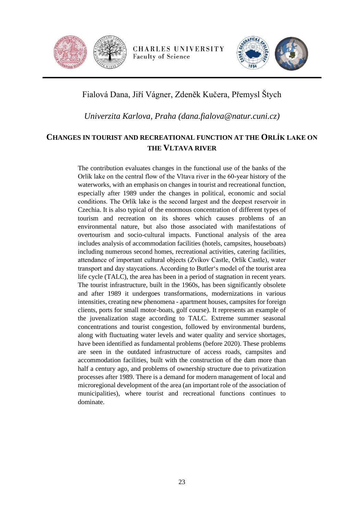



# Fialová Dana, Jiří Vágner, Zdeněk Kučera, Přemysl Štych

*Univerzita Karlova, Praha (dana.fialova@natur.cuni.cz)*

#### <span id="page-22-0"></span>**CHANGES IN TOURIST AND RECREATIONAL FUNCTION AT THE ORLÍK LAKE ON THE VLTAVA RIVER**

The contribution evaluates changes in the functional use of the banks of the Orlík lake on the central flow of the Vltava river in the 60-year history of the waterworks, with an emphasis on changes in tourist and recreational function, especially after 1989 under the changes in political, economic and social conditions. The Orlík lake is the second largest and the deepest reservoir in Czechia. It is also typical of the enormous concentration of different types of tourism and recreation on its shores which causes problems of an environmental nature, but also those associated with manifestations of overtourism and socio-cultural impacts. Functional analysis of the area includes analysis of accommodation facilities (hotels, campsites, houseboats) including numerous second homes, recreational activities, catering facilities, attendance of important cultural objects (Zvíkov Castle, Orlík Castle), water transport and day staycations. According to Butler's model of the tourist area life cycle (TALC), the area has been in a period of stagnation in recent years. The tourist infrastructure, built in the 1960s, has been significantly obsolete and after 1989 it undergoes transformations, modernizations in various intensities, creating new phenomena - apartment houses, campsites for foreign clients, ports for small motor-boats, golf course). It represents an example of the juvenalization stage according to TALC. Extreme summer seasonal concentrations and tourist congestion, followed by environmental burdens, along with fluctuating water levels and water quality and service shortages, have been identified as fundamental problems (before 2020). These problems are seen in the outdated infrastructure of access roads, campsites and accommodation facilities, built with the construction of the dam more than half a century ago, and problems of ownership structure due to privatization processes after 1989. There is a demand for modern management of local and microregional development of the area (an important role of the association of municipalities), where tourist and recreational functions continues to dominate.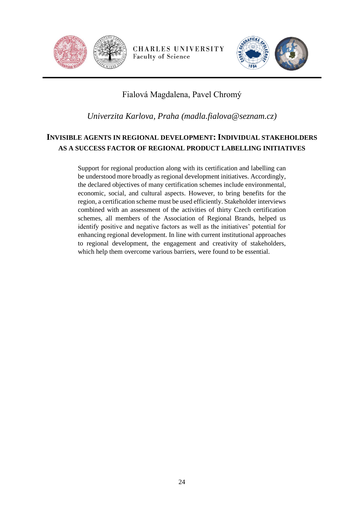



# Fialová Magdalena, Pavel Chromý

*Univerzita Karlova, Praha (madla.fialova@seznam.cz)*

# <span id="page-23-0"></span>**INVISIBLE AGENTS IN REGIONAL DEVELOPMENT: INDIVIDUAL STAKEHOLDERS AS A SUCCESS FACTOR OF REGIONAL PRODUCT LABELLING INITIATIVES**

Support for regional production along with its certification and labelling can be understood more broadly as regional development initiatives. Accordingly, the declared objectives of many certification schemes include environmental, economic, social, and cultural aspects. However, to bring benefits for the region, a certification scheme must be used efficiently. Stakeholder interviews combined with an assessment of the activities of thirty Czech certification schemes, all members of the Association of Regional Brands, helped us identify positive and negative factors as well as the initiatives' potential for enhancing regional development. In line with current institutional approaches to regional development, the engagement and creativity of stakeholders, which help them overcome various barriers, were found to be essential.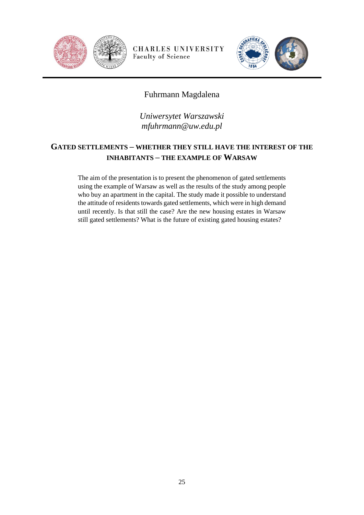



# Fuhrmann Magdalena

*Uniwersytet Warszawski mfuhrmann@uw.edu.pl*

# <span id="page-24-0"></span>**GATED SETTLEMENTS – WHETHER THEY STILL HAVE THE INTEREST OF THE INHABITANTS – THE EXAMPLE OF WARSAW**

The aim of the presentation is to present the phenomenon of gated settlements using the example of Warsaw as well as the results of the study among people who buy an apartment in the capital. The study made it possible to understand the attitude of residents towards gated settlements, which were in high demand until recently. Is that still the case? Are the new housing estates in Warsaw still gated settlements? What is the future of existing gated housing estates?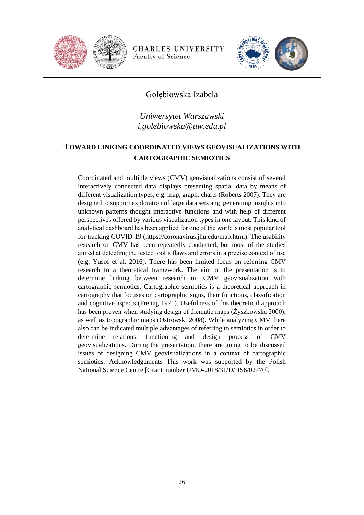



# Gołębiowska Izabela

## *Uniwersytet Warszawski i.golebiowska@uw.edu.pl*

# <span id="page-25-0"></span>**TOWARD LINKING COORDINATED VIEWS GEOVISUALIZATIONS WITH CARTOGRAPHIC SEMIOTICS**

Coordinated and multiple views (CMV) geovisualizations consist of several interactively connected data displays presenting spatial data by means of different visualization types, e.g. map, graph, charts (Roberts 2007). They are designed to support exploration of large data sets ang generating insights into unknown patterns thought interactive functions and with help of different perspectives offered by various visualization types in one layout. This kind of analytical dashboard has been applied for one of the world's most popular tool for tracking COVID-19 (https://coronavirus.jhu.edu/map.html). The usability research on CMV has been repeatedly conducted, but most of the studies aimed at detecting the tested tool's flaws and errors in a precise context of use (e.g. Yusof et al. 2016). There has been limited focus on referring CMV research to a theoretical framework. The aim of the presentation is to determine linking between research on CMV geovisualization with cartographic semiotics. Cartographic semiotics is a theoretical approach in cartography that focuses on cartographic signs, their functions, classification and cognitive aspects (Freitag 1971). Usefulness of this theoretical approach has been proven when studying design of thematic maps (Żyszkowska 2000), as well as topographic maps (Ostrowski 2008). While analyzing CMV there also can be indicated multiple advantages of referring to semiotics in order to determine relations, functioning and design process of CMV geovisualizations. During the presentation, there are going to be discussed issues of designing CMV geovisualizations in a context of cartographic semiotics. Acknowledgements This work was supported by the Polish National Science Centre [Grant number UMO-2018/31/D/HS6/02770].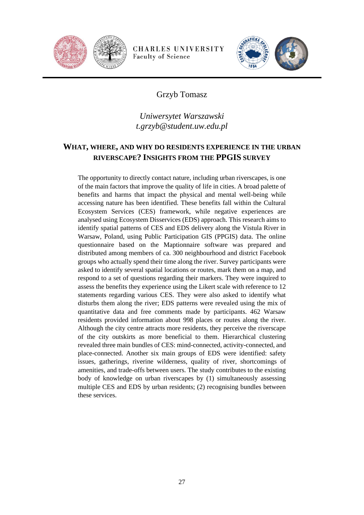



# Grzyb Tomasz

# *Uniwersytet Warszawski t.grzyb@student.uw.edu.pl*

#### <span id="page-26-0"></span>**WHAT, WHERE, AND WHY DO RESIDENTS EXPERIENCE IN THE URBAN RIVERSCAPE? INSIGHTS FROM THE PPGIS SURVEY**

The opportunity to directly contact nature, including urban riverscapes, is one of the main factors that improve the quality of life in cities. A broad palette of benefits and harms that impact the physical and mental well-being while accessing nature has been identified. These benefits fall within the Cultural Ecosystem Services (CES) framework, while negative experiences are analysed using Ecosystem Disservices (EDS) approach. This research aims to identify spatial patterns of CES and EDS delivery along the Vistula River in Warsaw, Poland, using Public Participation GIS (PPGIS) data. The online questionnaire based on the Maptionnaire software was prepared and distributed among members of ca. 300 neighbourhood and district Facebook groups who actually spend their time along the river. Survey participants were asked to identify several spatial locations or routes, mark them on a map, and respond to a set of questions regarding their markers. They were inquired to assess the benefits they experience using the Likert scale with reference to 12 statements regarding various CES. They were also asked to identify what disturbs them along the river; EDS patterns were revealed using the mix of quantitative data and free comments made by participants. 462 Warsaw residents provided information about 998 places or routes along the river. Although the city centre attracts more residents, they perceive the riverscape of the city outskirts as more beneficial to them. Hierarchical clustering revealed three main bundles of CES: mind-connected, activity-connected, and place-connected. Another six main groups of EDS were identified: safety issues, gatherings, riverine wilderness, quality of river, shortcomings of amenities, and trade-offs between users. The study contributes to the existing body of knowledge on urban riverscapes by (1) simultaneously assessing multiple CES and EDS by urban residents; (2) recognising bundles between these services.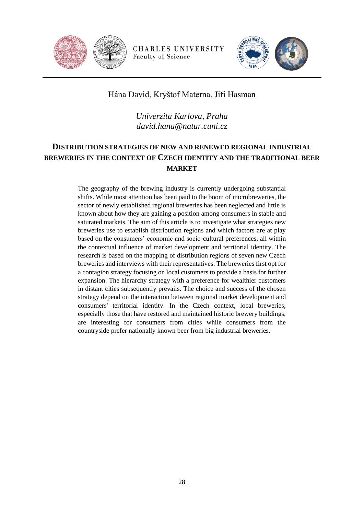



# Hána David, Kryštof Materna, Jiří Hasman

*Univerzita Karlova, Praha david.hana@natur.cuni.cz*

# <span id="page-27-0"></span>**DISTRIBUTION STRATEGIES OF NEW AND RENEWED REGIONAL INDUSTRIAL BREWERIES IN THE CONTEXT OF CZECH IDENTITY AND THE TRADITIONAL BEER MARKET**

The geography of the brewing industry is currently undergoing substantial shifts. While most attention has been paid to the boom of microbreweries, the sector of newly established regional breweries has been neglected and little is known about how they are gaining a position among consumers in stable and saturated markets. The aim of this article is to investigate what strategies new breweries use to establish distribution regions and which factors are at play based on the consumers' economic and socio-cultural preferences, all within the contextual influence of market development and territorial identity. The research is based on the mapping of distribution regions of seven new Czech breweries and interviews with their representatives. The breweries first opt for a contagion strategy focusing on local customers to provide a basis for further expansion. The hierarchy strategy with a preference for wealthier customers in distant cities subsequently prevails. The choice and success of the chosen strategy depend on the interaction between regional market development and consumers' territorial identity. In the Czech context, local breweries, especially those that have restored and maintained historic brewery buildings, are interesting for consumers from cities while consumers from the countryside prefer nationally known beer from big industrial breweries.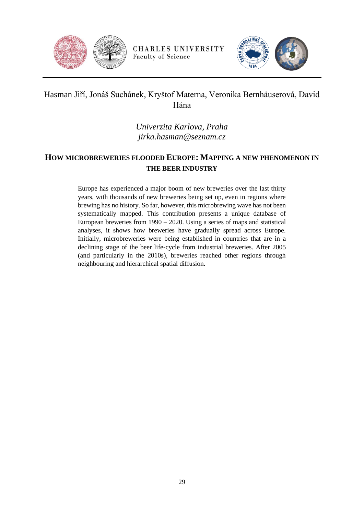



# Hasman Jiří, Jonáš Suchánek, Kryštof Materna, Veronika Bernhäuserová, David Hána

*Univerzita Karlova, Praha jirka.hasman@seznam.cz*

# <span id="page-28-0"></span>**HOW MICROBREWERIES FLOODED EUROPE: MAPPING A NEW PHENOMENON IN THE BEER INDUSTRY**

Europe has experienced a major boom of new breweries over the last thirty years, with thousands of new breweries being set up, even in regions where brewing has no history. So far, however, this microbrewing wave has not been systematically mapped. This contribution presents a unique database of European breweries from 1990 – 2020. Using a series of maps and statistical analyses, it shows how breweries have gradually spread across Europe. Initially, microbreweries were being established in countries that are in a declining stage of the beer life-cycle from industrial breweries. After 2005 (and particularly in the 2010s), breweries reached other regions through neighbouring and hierarchical spatial diffusion.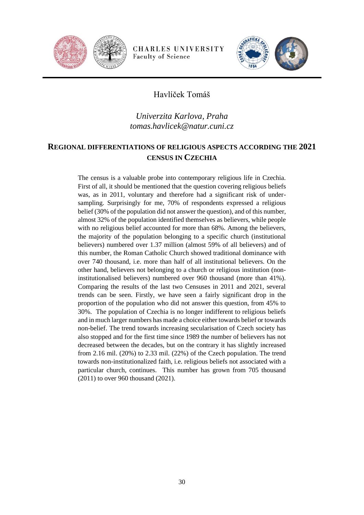



# Havlíček Tomáš

# *Univerzita Karlova, Praha tomas.havlicek@natur.cuni.cz*

#### <span id="page-29-0"></span>**REGIONAL DIFFERENTIATIONS OF RELIGIOUS ASPECTS ACCORDING THE 2021 CENSUS IN CZECHIA**

The census is a valuable probe into contemporary religious life in Czechia. First of all, it should be mentioned that the question covering religious beliefs was, as in 2011, voluntary and therefore had a significant risk of undersampling. Surprisingly for me, 70% of respondents expressed a religious belief (30% of the population did not answer the question), and of this number, almost 32% of the population identified themselves as believers, while people with no religious belief accounted for more than 68%. Among the believers, the majority of the population belonging to a specific church (institutional believers) numbered over 1.37 million (almost 59% of all believers) and of this number, the Roman Catholic Church showed traditional dominance with over 740 thousand, i.e. more than half of all institutional believers. On the other hand, believers not belonging to a church or religious institution (noninstitutionalised believers) numbered over 960 thousand (more than 41%). Comparing the results of the last two Censuses in 2011 and 2021, several trends can be seen. Firstly, we have seen a fairly significant drop in the proportion of the population who did not answer this question, from 45% to 30%. The population of Czechia is no longer indifferent to religious beliefs and in much larger numbers has made a choice either towards belief or towards non-belief. The trend towards increasing secularisation of Czech society has also stopped and for the first time since 1989 the number of believers has not decreased between the decades, but on the contrary it has slightly increased from 2.16 mil. (20%) to 2.33 mil. (22%) of the Czech population. The trend towards non-institutionalized faith, i.e. religious beliefs not associated with a particular church, continues. This number has grown from 705 thousand (2011) to over 960 thousand (2021).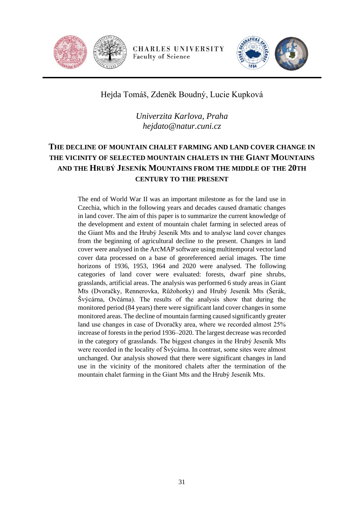



# Hejda Tomáš, Zdeněk Boudný, Lucie Kupková

*Univerzita Karlova, Praha hejdato@natur.cuni.cz*

# <span id="page-30-0"></span>**THE DECLINE OF MOUNTAIN CHALET FARMING AND LAND COVER CHANGE IN THE VICINITY OF SELECTED MOUNTAIN CHALETS IN THE GIANT MOUNTAINS AND THE HRUBÝ JESENÍK MOUNTAINS FROM THE MIDDLE OF THE 20TH CENTURY TO THE PRESENT**

The end of World War II was an important milestone as for the land use in Czechia, which in the following years and decades caused dramatic changes in land cover. The aim of this paper is to summarize the current knowledge of the development and extent of mountain chalet farming in selected areas of the Giant Mts and the Hrubý Jeseník Mts and to analyse land cover changes from the beginning of agricultural decline to the present. Changes in land cover were analysed in the ArcMAP software using multitemporal vector land cover data processed on a base of georeferenced aerial images. The time horizons of 1936, 1953, 1964 and 2020 were analysed. The following categories of land cover were evaluated: forests, dwarf pine shrubs, grasslands, artificial areas. The analysis was performed 6 study areas in Giant Mts (Dvoračky, Rennerovka, Růžohorky) and Hrubý Jeseník Mts (Šerák, Švýcárna, Ovčárna). The results of the analysis show that during the monitored period (84 years) there were significant land cover changes in some monitored areas. The decline of mountain farming caused significantly greater land use changes in case of Dvoračky area, where we recorded almost 25% increase of forests in the period 1936–2020. The largest decrease was recorded in the category of grasslands. The biggest changes in the Hrubý Jeseník Mts were recorded in the locality of Švýcárna. In contrast, some sites were almost unchanged. Our analysis showed that there were significant changes in land use in the vicinity of the monitored chalets after the termination of the mountain chalet farming in the Giant Mts and the Hrubý Jeseník Mts.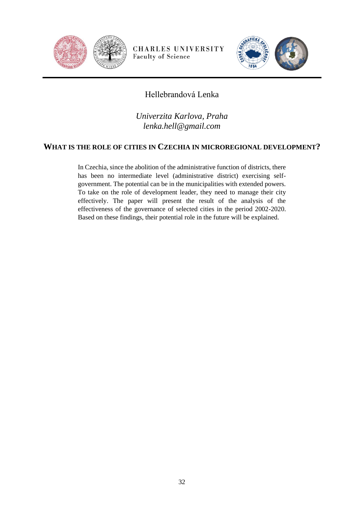



# Hellebrandová Lenka

*Univerzita Karlova, Praha lenka.hell@gmail.com*

#### <span id="page-31-0"></span>**WHAT IS THE ROLE OF CITIES IN CZECHIA IN MICROREGIONAL DEVELOPMENT?**

In Czechia, since the abolition of the administrative function of districts, there has been no intermediate level (administrative district) exercising selfgovernment. The potential can be in the municipalities with extended powers. To take on the role of development leader, they need to manage their city effectively. The paper will present the result of the analysis of the effectiveness of the governance of selected cities in the period 2002-2020. Based on these findings, their potential role in the future will be explained.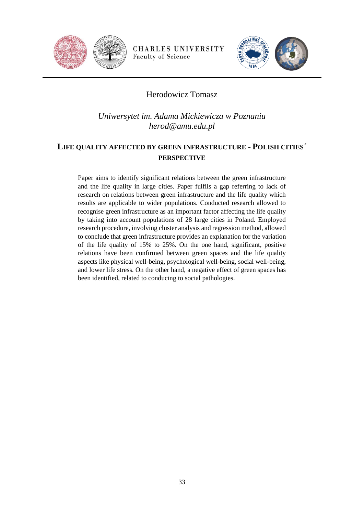



# Herodowicz Tomasz

*Uniwersytet im. Adama Mickiewicza w Poznaniu herod@amu.edu.pl*

# <span id="page-32-0"></span>**LIFE QUALITY AFFECTED BY GREEN INFRASTRUCTURE - POLISH CITIES´ PERSPECTIVE**

Paper aims to identify significant relations between the green infrastructure and the life quality in large cities. Paper fulfils a gap referring to lack of research on relations between green infrastructure and the life quality which results are applicable to wider populations. Conducted research allowed to recognise green infrastructure as an important factor affecting the life quality by taking into account populations of 28 large cities in Poland. Employed research procedure, involving cluster analysis and regression method, allowed to conclude that green infrastructure provides an explanation for the variation of the life quality of 15% to 25%. On the one hand, significant, positive relations have been confirmed between green spaces and the life quality aspects like physical well-being, psychological well-being, social well-being, and lower life stress. On the other hand, a negative effect of green spaces has been identified, related to conducing to social pathologies.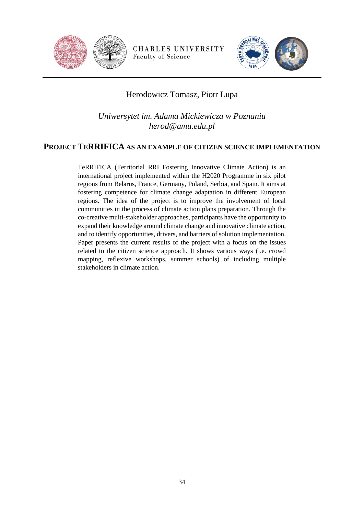



# Herodowicz Tomasz, Piotr Lupa

*Uniwersytet im. Adama Mickiewicza w Poznaniu herod@amu.edu.pl*

#### <span id="page-33-0"></span>**PROJECT TERRIFICA AS AN EXAMPLE OF CITIZEN SCIENCE IMPLEMENTATION**

TeRRIFICA (Territorial RRI Fostering Innovative Climate Action) is an international project implemented within the H2020 Programme in six pilot regions from Belarus, France, Germany, Poland, Serbia, and Spain. It aims at fostering competence for climate change adaptation in different European regions. The idea of the project is to improve the involvement of local communities in the process of climate action plans preparation. Through the co-creative multi-stakeholder approaches, participants have the opportunity to expand their knowledge around climate change and innovative climate action, and to identify opportunities, drivers, and barriers of solution implementation. Paper presents the current results of the project with a focus on the issues related to the citizen science approach. It shows various ways (i.e. crowd mapping, reflexive workshops, summer schools) of including multiple stakeholders in climate action.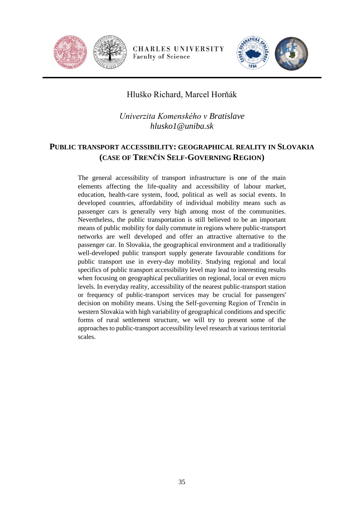



# Hluško Richard, Marcel Horňák

*Univerzita Komenského v Bratislave hlusko1@uniba.sk*

# <span id="page-34-0"></span>**PUBLIC TRANSPORT ACCESSIBILITY: GEOGRAPHICAL REALITY IN SLOVAKIA (CASE OF TRENČÍN SELF-GOVERNING REGION)**

The general accessibility of transport infrastructure is one of the main elements affecting the life-quality and accessibility of labour market, education, health-care system, food, political as well as social events. In developed countries, affordability of individual mobility means such as passenger cars is generally very high among most of the communities. Nevertheless, the public transportation is still believed to be an important means of public mobility for daily commute in regions where public-transport networks are well developed and offer an attractive alternative to the passenger car. In Slovakia, the geographical environment and a traditionally well-developed public transport supply generate favourable conditions for public transport use in every-day mobility. Studying regional and local specifics of public transport accessibility level may lead to interesting results when focusing on geographical peculiarities on regional, local or even micro levels. In everyday reality, accessibility of the nearest public-transport station or frequency of public-transport services may be crucial for passengers' decision on mobility means. Using the Self-governing Region of Trenčín in western Slovakia with high variability of geographical conditions and specific forms of rural settlement structure, we will try to present some of the approaches to public-transport accessibility level research at various territorial scales.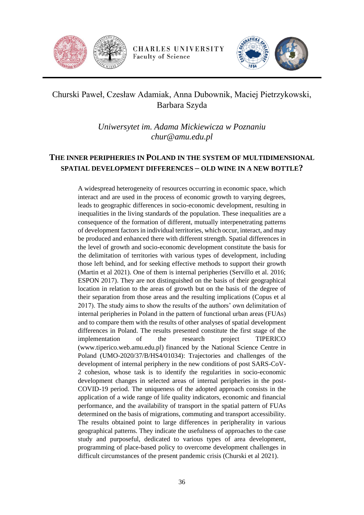



# Churski Paweł, Czesław Adamiak, Anna Dubownik, Maciej Pietrzykowski, Barbara Szyda

*Uniwersytet im. Adama Mickiewicza w Poznaniu chur@amu.edu.pl*

# <span id="page-35-0"></span>**THE INNER PERIPHERIES IN POLAND IN THE SYSTEM OF MULTIDIMENSIONAL SPATIAL DEVELOPMENT DIFFERENCES – OLD WINE IN A NEW BOTTLE?**

A widespread heterogeneity of resources occurring in economic space, which interact and are used in the process of economic growth to varying degrees, leads to geographic differences in socio-economic development, resulting in inequalities in the living standards of the population. These inequalities are a consequence of the formation of different, mutually interpenetrating patterns of development factors in individual territories, which occur, interact, and may be produced and enhanced there with different strength. Spatial differences in the level of growth and socio-economic development constitute the basis for the delimitation of territories with various types of development, including those left behind, and for seeking effective methods to support their growth (Martin et al 2021). One of them is internal peripheries (Servillo et al. 2016; ESPON 2017). They are not distinguished on the basis of their geographical location in relation to the areas of growth but on the basis of the degree of their separation from those areas and the resulting implications (Copus et al 2017). The study aims to show the results of the authors' own delimitation of internal peripheries in Poland in the pattern of functional urban areas (FUAs) and to compare them with the results of other analyses of spatial development differences in Poland. The results presented constitute the first stage of the implementation of the research project TIPERICO (www.tiperico.web.amu.edu.pl) financed by the National Science Centre in Poland (UMO-2020/37/B/HS4/01034): Trajectories and challenges of the development of internal periphery in the new conditions of post SARS-CoV-2 cohesion, whose task is to identify the regularities in socio-economic development changes in selected areas of internal peripheries in the post-COVID-19 period. The uniqueness of the adopted approach consists in the application of a wide range of life quality indicators, economic and financial performance, and the availability of transport in the spatial pattern of FUAs determined on the basis of migrations, commuting and transport accessibility. The results obtained point to large differences in peripherality in various geographical patterns. They indicate the usefulness of approaches to the case study and purposeful, dedicated to various types of area development, programming of place-based policy to overcome development challenges in difficult circumstances of the present pandemic crisis (Churski et al 2021).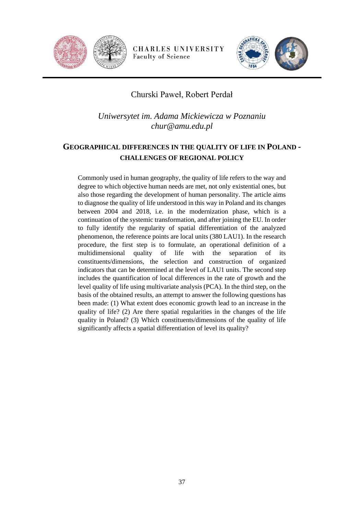



## Churski Paweł, Robert Perdał

*Uniwersytet im. Adama Mickiewicza w Poznaniu chur@amu.edu.pl*

## **GEOGRAPHICAL DIFFERENCES IN THE QUALITY OF LIFE IN POLAND - CHALLENGES OF REGIONAL POLICY**

Commonly used in human geography, the quality of life refers to the way and degree to which objective human needs are met, not only existential ones, but also those regarding the development of human personality. The article aims to diagnose the quality of life understood in this way in Poland and its changes between 2004 and 2018, i.e. in the modernization phase, which is a continuation of the systemic transformation, and after joining the EU. In order to fully identify the regularity of spatial differentiation of the analyzed phenomenon, the reference points are local units (380 LAU1). In the research procedure, the first step is to formulate, an operational definition of a multidimensional quality of life with the separation of its constituents/dimensions, the selection and construction of organized indicators that can be determined at the level of LAU1 units. The second step includes the quantification of local differences in the rate of growth and the level quality of life using multivariate analysis (PCA). In the third step, on the basis of the obtained results, an attempt to answer the following questions has been made: (1) What extent does economic growth lead to an increase in the quality of life? (2) Are there spatial regularities in the changes of the life quality in Poland? (3) Which constituents/dimensions of the quality of life significantly affects a spatial differentiation of level its quality?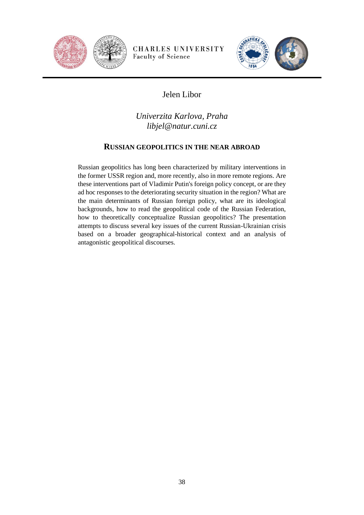



# Jelen Libor

*Univerzita Karlova, Praha libjel@natur.cuni.cz*

#### **RUSSIAN GEOPOLITICS IN THE NEAR ABROAD**

Russian geopolitics has long been characterized by military interventions in the former USSR region and, more recently, also in more remote regions. Are these interventions part of Vladimir Putin's foreign policy concept, or are they ad hoc responses to the deteriorating security situation in the region? What are the main determinants of Russian foreign policy, what are its ideological backgrounds, how to read the geopolitical code of the Russian Federation, how to theoretically conceptualize Russian geopolitics? The presentation attempts to discuss several key issues of the current Russian-Ukrainian crisis based on a broader geographical-historical context and an analysis of antagonistic geopolitical discourses.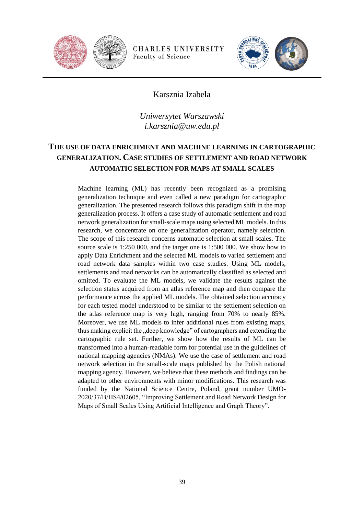



#### Karsznia Izabela

*Uniwersytet Warszawski i.karsznia@uw.edu.pl*

## **THE USE OF DATA ENRICHMENT AND MACHINE LEARNING IN CARTOGRAPHIC GENERALIZATION. CASE STUDIES OF SETTLEMENT AND ROAD NETWORK AUTOMATIC SELECTION FOR MAPS AT SMALL SCALES**

Machine learning (ML) has recently been recognized as a promising generalization technique and even called a new paradigm for cartographic generalization. The presented research follows this paradigm shift in the map generalization process. It offers a case study of automatic settlement and road network generalization for small-scale maps using selected ML models. In this research, we concentrate on one generalization operator, namely selection. The scope of this research concerns automatic selection at small scales. The source scale is 1:250 000, and the target one is 1:500 000. We show how to apply Data Enrichment and the selected ML models to varied settlement and road network data samples within two case studies. Using ML models, settlements and road networks can be automatically classified as selected and omitted. To evaluate the ML models, we validate the results against the selection status acquired from an atlas reference map and then compare the performance across the applied ML models. The obtained selection accuracy for each tested model understood to be similar to the settlement selection on the atlas reference map is very high, ranging from 70% to nearly 85%. Moreover, we use ML models to infer additional rules from existing maps, thus making explicit the "deep knowledge" of cartographers and extending the cartographic rule set. Further, we show how the results of ML can be transformed into a human-readable form for potential use in the guidelines of national mapping agencies (NMAs). We use the case of settlement and road network selection in the small-scale maps published by the Polish national mapping agency. However, we believe that these methods and findings can be adapted to other environments with minor modifications. This research was funded by the National Science Centre, Poland, grant number UMO-2020/37/B/HS4/02605, "Improving Settlement and Road Network Design for Maps of Small Scales Using Artificial Intelligence and Graph Theory".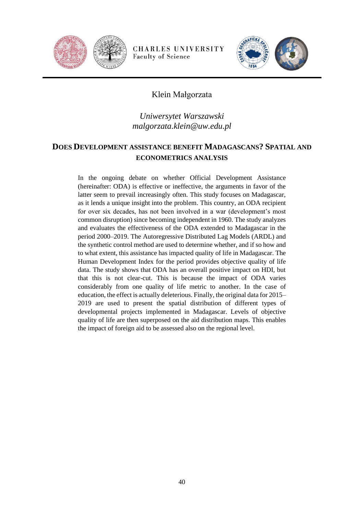



### Klein Małgorzata

## *Uniwersytet Warszawski malgorzata.klein@uw.edu.pl*

### **DOES DEVELOPMENT ASSISTANCE BENEFIT MADAGASCANS? SPATIAL AND ECONOMETRICS ANALYSIS**

In the ongoing debate on whether Official Development Assistance (hereinafter: ODA) is effective or ineffective, the arguments in favor of the latter seem to prevail increasingly often. This study focuses on Madagascar, as it lends a unique insight into the problem. This country, an ODA recipient for over six decades, has not been involved in a war (development's most common disruption) since becoming independent in 1960. The study analyzes and evaluates the effectiveness of the ODA extended to Madagascar in the period 2000–2019. The Autoregressive Distributed Lag Models (ARDL) and the synthetic control method are used to determine whether, and if so how and to what extent, this assistance has impacted quality of life in Madagascar. The Human Development Index for the period provides objective quality of life data. The study shows that ODA has an overall positive impact on HDI, but that this is not clear-cut. This is because the impact of ODA varies considerably from one quality of life metric to another. In the case of education, the effect is actually deleterious. Finally, the original data for 2015– 2019 are used to present the spatial distribution of different types of developmental projects implemented in Madagascar. Levels of objective quality of life are then superposed on the aid distribution maps. This enables the impact of foreign aid to be assessed also on the regional level.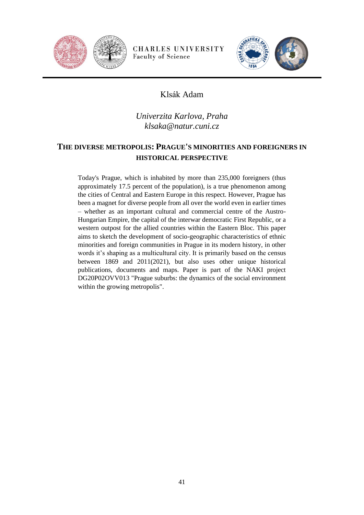



## Klsák Adam

## *Univerzita Karlova, Praha klsaka@natur.cuni.cz*

## **THE DIVERSE METROPOLIS: PRAGUE'S MINORITIES AND FOREIGNERS IN HISTORICAL PERSPECTIVE**

Today's Prague, which is inhabited by more than 235,000 foreigners (thus approximately 17.5 percent of the population), is a true phenomenon among the cities of Central and Eastern Europe in this respect. However, Prague has been a magnet for diverse people from all over the world even in earlier times – whether as an important cultural and commercial centre of the Austro-Hungarian Empire, the capital of the interwar democratic First Republic, or a western outpost for the allied countries within the Eastern Bloc. This paper aims to sketch the development of socio-geographic characteristics of ethnic minorities and foreign communities in Prague in its modern history, in other words it's shaping as a multicultural city. It is primarily based on the census between 1869 and 2011(2021), but also uses other unique historical publications, documents and maps. Paper is part of the NAKI project DG20P02OVV013 "Prague suburbs: the dynamics of the social environment within the growing metropolis".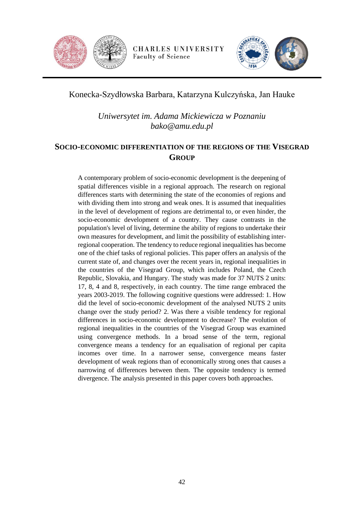



## Konecka-Szydłowska Barbara, Katarzyna Kulczyńska, Jan Hauke

*Uniwersytet im. Adama Mickiewicza w Poznaniu bako@amu.edu.pl*

### **SOCIO-ECONOMIC DIFFERENTIATION OF THE REGIONS OF THE VISEGRAD GROUP**

A contemporary problem of socio-economic development is the deepening of spatial differences visible in a regional approach. The research on regional differences starts with determining the state of the economies of regions and with dividing them into strong and weak ones. It is assumed that inequalities in the level of development of regions are detrimental to, or even hinder, the socio-economic development of a country. They cause contrasts in the population's level of living, determine the ability of regions to undertake their own measures for development, and limit the possibility of establishing interregional cooperation. The tendency to reduce regional inequalities has become one of the chief tasks of regional policies. This paper offers an analysis of the current state of, and changes over the recent years in, regional inequalities in the countries of the Visegrad Group, which includes Poland, the Czech Republic, Slovakia, and Hungary. The study was made for 37 NUTS 2 units: 17, 8, 4 and 8, respectively, in each country. The time range embraced the years 2003-2019. The following cognitive questions were addressed: 1. How did the level of socio-economic development of the analysed NUTS 2 units change over the study period? 2. Was there a visible tendency for regional differences in socio-economic development to decrease? The evolution of regional inequalities in the countries of the Visegrad Group was examined using convergence methods. In a broad sense of the term, regional convergence means a tendency for an equalisation of regional per capita incomes over time. In a narrower sense, convergence means faster development of weak regions than of economically strong ones that causes a narrowing of differences between them. The opposite tendency is termed divergence. The analysis presented in this paper covers both approaches.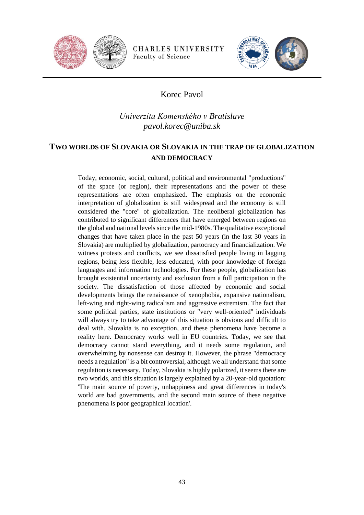



## Korec Pavol

## *Univerzita Komenského v Bratislave pavol.korec@uniba.sk*

### **TWO WORLDS OF SLOVAKIA OR SLOVAKIA IN THE TRAP OF GLOBALIZATION AND DEMOCRACY**

Today, economic, social, cultural, political and environmental "productions" of the space (or region), their representations and the power of these representations are often emphasized. The emphasis on the economic interpretation of globalization is still widespread and the economy is still considered the "core" of globalization. The neoliberal globalization has contributed to significant differences that have emerged between regions on the global and national levels since the mid-1980s. The qualitative exceptional changes that have taken place in the past 50 years (in the last 30 years in Slovakia) are multiplied by globalization, partocracy and financialization. We witness protests and conflicts, we see dissatisfied people living in lagging regions, being less flexible, less educated, with poor knowledge of foreign languages and information technologies. For these people, globalization has brought existential uncertainty and exclusion from a full participation in the society. The dissatisfaction of those affected by economic and social developments brings the renaissance of xenophobia, expansive nationalism, left-wing and right-wing radicalism and aggressive extremism. The fact that some political parties, state institutions or "very well-oriented" individuals will always try to take advantage of this situation is obvious and difficult to deal with. Slovakia is no exception, and these phenomena have become a reality here. Democracy works well in EU countries. Today, we see that democracy cannot stand everything, and it needs some regulation, and overwhelming by nonsense can destroy it. However, the phrase "democracy needs a regulation" is a bit controversial, although we all understand that some regulation is necessary. Today, Slovakia is highly polarized, it seems there are two worlds, and this situation is largely explained by a 20-year-old quotation: 'The main source of poverty, unhappiness and great differences in today's world are bad governments, and the second main source of these negative phenomena is poor geographical location'.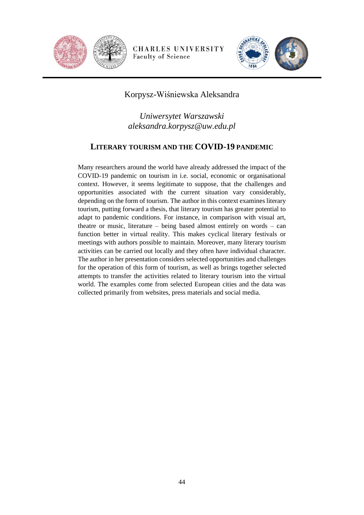



### Korpysz-Wiśniewska Aleksandra

*Uniwersytet Warszawski aleksandra.korpysz@uw.edu.pl*

#### **LITERARY TOURISM AND THE COVID-19 PANDEMIC**

Many researchers around the world have already addressed the impact of the COVID-19 pandemic on tourism in i.e. social, economic or organisational context. However, it seems legitimate to suppose, that the challenges and opportunities associated with the current situation vary considerably, depending on the form of tourism. The author in this context examines literary tourism, putting forward a thesis, that literary tourism has greater potential to adapt to pandemic conditions. For instance, in comparison with visual art, theatre or music, literature – being based almost entirely on words – can function better in virtual reality. This makes cyclical literary festivals or meetings with authors possible to maintain. Moreover, many literary tourism activities can be carried out locally and they often have individual character. The author in her presentation considers selected opportunities and challenges for the operation of this form of tourism, as well as brings together selected attempts to transfer the activities related to literary tourism into the virtual world. The examples come from selected European cities and the data was collected primarily from websites, press materials and social media.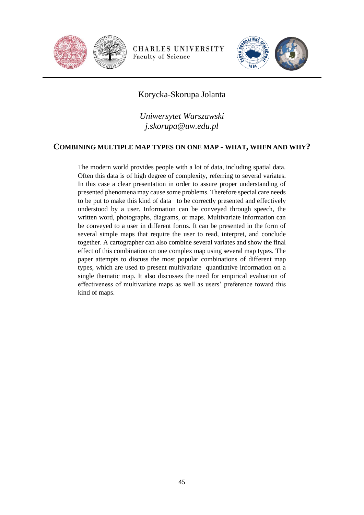



### Korycka-Skorupa Jolanta

*Uniwersytet Warszawski j.skorupa@uw.edu.pl*

#### **COMBINING MULTIPLE MAP TYPES ON ONE MAP - WHAT, WHEN AND WHY?**

The modern world provides people with a lot of data, including spatial data. Often this data is of high degree of complexity, referring to several variates. In this case a clear presentation in order to assure proper understanding of presented phenomena may cause some problems. Therefore special care needs to be put to make this kind of data to be correctly presented and effectively understood by a user. Information can be conveyed through speech, the written word, photographs, diagrams, or maps. Multivariate information can be conveyed to a user in different forms. It can be presented in the form of several simple maps that require the user to read, interpret, and conclude together. A cartographer can also combine several variates and show the final effect of this combination on one complex map using several map types. The paper attempts to discuss the most popular combinations of different map types, which are used to present multivariate quantitative information on a single thematic map. It also discusses the need for empirical evaluation of effectiveness of multivariate maps as well as users' preference toward this kind of maps.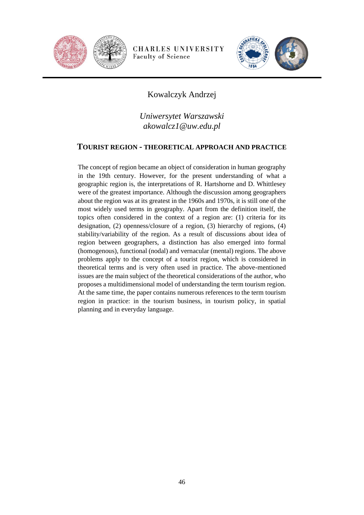



## Kowalczyk Andrzej

*Uniwersytet Warszawski akowalcz1@uw.edu.pl*

#### **TOURIST REGION - THEORETICAL APPROACH AND PRACTICE**

The concept of region became an object of consideration in human geography in the 19th century. However, for the present understanding of what a geographic region is, the interpretations of R. Hartshorne and D. Whittlesey were of the greatest importance. Although the discussion among geographers about the region was at its greatest in the 1960s and 1970s, it is still one of the most widely used terms in geography. Apart from the definition itself, the topics often considered in the context of a region are: (1) criteria for its designation, (2) openness/closure of a region, (3) hierarchy of regions, (4) stability/variability of the region. As a result of discussions about idea of region between geographers, a distinction has also emerged into formal (homogenous), functional (nodal) and vernacular (mental) regions. The above problems apply to the concept of a tourist region, which is considered in theoretical terms and is very often used in practice. The above-mentioned issues are the main subject of the theoretical considerations of the author, who proposes a multidimensional model of understanding the term tourism region. At the same time, the paper contains numerous references to the term tourism region in practice: in the tourism business, in tourism policy, in spatial planning and in everyday language.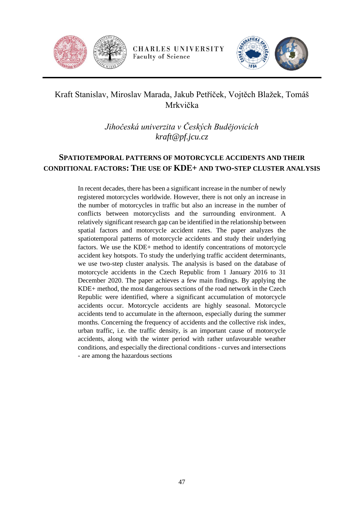



# Kraft Stanislav, Miroslav Marada, Jakub Petříček, Vojtěch Blažek, Tomáš Mrkvička

*Jihočeská univerzita v Českých Budějovicích kraft@pf.jcu.cz*

### **SPATIOTEMPORAL PATTERNS OF MOTORCYCLE ACCIDENTS AND THEIR CONDITIONAL FACTORS: THE USE OF KDE+ AND TWO-STEP CLUSTER ANALYSIS**

In recent decades, there has been a significant increase in the number of newly registered motorcycles worldwide. However, there is not only an increase in the number of motorcycles in traffic but also an increase in the number of conflicts between motorcyclists and the surrounding environment. A relatively significant research gap can be identified in the relationship between spatial factors and motorcycle accident rates. The paper analyzes the spatiotemporal patterns of motorcycle accidents and study their underlying factors. We use the KDE+ method to identify concentrations of motorcycle accident key hotspots. To study the underlying traffic accident determinants, we use two-step cluster analysis. The analysis is based on the database of motorcycle accidents in the Czech Republic from 1 January 2016 to 31 December 2020. The paper achieves a few main findings. By applying the KDE+ method, the most dangerous sections of the road network in the Czech Republic were identified, where a significant accumulation of motorcycle accidents occur. Motorcycle accidents are highly seasonal. Motorcycle accidents tend to accumulate in the afternoon, especially during the summer months. Concerning the frequency of accidents and the collective risk index, urban traffic, i.e. the traffic density, is an important cause of motorcycle accidents, along with the winter period with rather unfavourable weather conditions, and especially the directional conditions - curves and intersections - are among the hazardous sections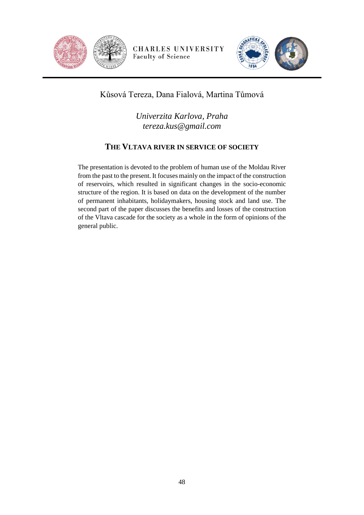



## Kůsová Tereza, Dana Fialová, Martina Tůmová

*Univerzita Karlova, Praha tereza.kus@gmail.com*

### **THE VLTAVA RIVER IN SERVICE OF SOCIETY**

The presentation is devoted to the problem of human use of the Moldau River from the past to the present. It focuses mainly on the impact of the construction of reservoirs, which resulted in significant changes in the socio-economic structure of the region. It is based on data on the development of the number of permanent inhabitants, holidaymakers, housing stock and land use. The second part of the paper discusses the benefits and losses of the construction of the Vltava cascade for the society as a whole in the form of opinions of the general public.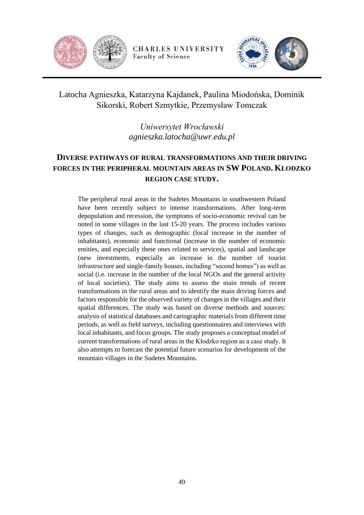



Latocha Agnieszka, Katarzyna Kajdanek, Paulina Miodońska, Dominik Sikorski, Robert Szmytkie, Przemysław Tomczak

> *Uniwersytet Wrocławski agnieszka.latocha@uwr.edu.pl*

## **DIVERSE PATHWAYS OF RURAL TRANSFORMATIONS AND THEIR DRIVING FORCES IN THE PERIPHERAL MOUNTAIN AREAS IN SW POLAND. KŁODZKO REGION CASE STUDY.**

The peripheral rural areas in the Sudetes Mountains in southwestern Poland have been recently subject to intense transformations. After long-term depopulation and recession, the symptoms of socio-economic revival can be noted in some villages in the last 15-20 years. The process includes various types of changes, such as demographic (local increase in the number of inhabitants), economic and functional (increase in the number of economic entities, and especially these ones related to services), spatial and landscape (new investments, especially an increase in the number of tourist infrastructure and single-family houses, including "second homes") as well as social (i.e. increase in the number of the local NGOs and the general activity of local societies). The study aims to assess the main trends of recent transformations in the rural areas and to identify the main driving forces and factors responsible for the observed variety of changes in the villages and their spatial differences. The study was based on diverse methods and sources: analysis of statistical databases and cartographic materials from different time periods, as well as field surveys, including questionnaires and interviews with local inhabitants, and focus groups. The study proposes a conceptual model of current transformations of rural areas in the Kłodzko region as a case study. It also attempts to forecast the potential future scenarios for development of the mountain villages in the Sudetes Mountains.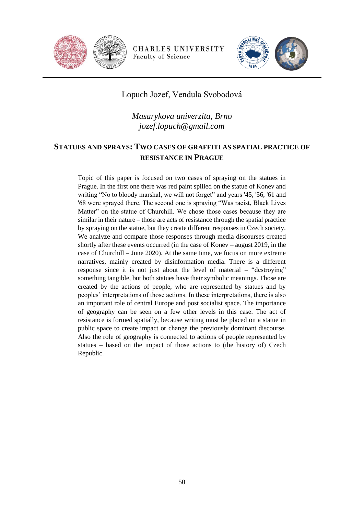



### Lopuch Jozef, Vendula Svobodová

*Masarykova univerzita, Brno jozef.lopuch@gmail.com*

### **STATUES AND SPRAYS: TWO CASES OF GRAFFITI AS SPATIAL PRACTICE OF RESISTANCE IN PRAGUE**

Topic of this paper is focused on two cases of spraying on the statues in Prague. In the first one there was red paint spilled on the statue of Konev and writing "No to bloody marshal, we will not forget" and years '45, '56, '61 and '68 were sprayed there. The second one is spraying "Was racist, Black Lives Matter" on the statue of Churchill. We chose those cases because they are similar in their nature – those are acts of resistance through the spatial practice by spraying on the statue, but they create different responses in Czech society. We analyze and compare those responses through media discourses created shortly after these events occurred (in the case of Konev – august 2019, in the case of Churchill – June 2020). At the same time, we focus on more extreme narratives, mainly created by disinformation media. There is a different response since it is not just about the level of material – "destroying" something tangible, but both statues have their symbolic meanings. Those are created by the actions of people, who are represented by statues and by peoples' interpretations of those actions. In these interpretations, there is also an important role of central Europe and post socialist space. The importance of geography can be seen on a few other levels in this case. The act of resistance is formed spatially, because writing must be placed on a statue in public space to create impact or change the previously dominant discourse. Also the role of geography is connected to actions of people represented by statues – based on the impact of those actions to (the history of) Czech Republic.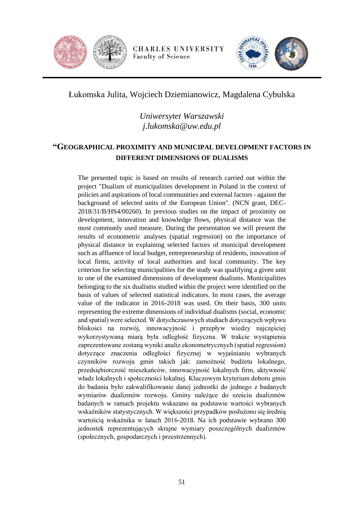



Łukomska Julita, Wojciech Dziemianowicz, Magdalena Cybulska

*Uniwersytet Warszawski j.lukomska@uw.edu.pl*

### **"GEOGRAPHICAL PROXIMITY AND MUNICIPAL DEVELOPMENT FACTORS IN DIFFERENT DIMENSIONS OF DUALISMS**

The presented topic is based on results of research carried out within the project "Dualism of municipalities development in Poland in the context of policies and aspirations of local communities and external factors - against the background of selected units of the European Union". (NCN grant, DEC-2018/31/B/HS4/00260). In previous studies on the impact of proximity on development, innovation and knowledge flows, physical distance was the most commonly used measure. During the presentation we will present the results of econometric analyses (spatial regression) on the importance of physical distance in explaining selected factors of municipal development such as affluence of local budget, entrepreneurship of residents, innovation of local firms, activity of local authorities and local community. The key criterion for selecting municipalities for the study was qualifying a given unit to one of the examined dimensions of development dualisms. Municipalities belonging to the six dualisms studied within the project were identified on the basis of values of selected statistical indicators. In most cases, the average value of the indicator in 2016-2018 was used. On their basis, 300 units representing the extreme dimensions of individual dualisms (social, economic and spatial) were selected. W dotychczasowych studiach dotyczących wpływu bliskości na rozwój, innowacyjność i przepływ wiedzy najczęściej wykorzystywaną miarą była odległość fizyczna. W trakcie wystąpienia zaprezentowane zostaną wyniki analiz ekonometrycznych (spatial regression) dotyczące znaczenia odległości fizycznej w wyjaśnianiu wybranych czynników rozwoju gmin takich jak: zamożność budżetu lokalnego, przedsiębiorczość mieszkańców, innowacyjność lokalnych firm, aktywność władz lokalnych i społeczności lokalnej. Kluczowym kryterium doboru gmin do badania było zakwalifikowanie danej jednostki do jednego z badanych wymiarów dualizmów rozwoju. Gminy należące do sześciu dualizmów badanych w ramach projektu wskazano na podstawie wartości wybranych wskaźników statystycznych. W większości przypadków posłużono się średnią wartością wskaźnika w latach 2016-2018. Na ich podstawie wybrano 300 jednostek reprezentujących skrajne wymiary poszczególnych dualizmów (społecznych, gospodarczych i przestrzennych).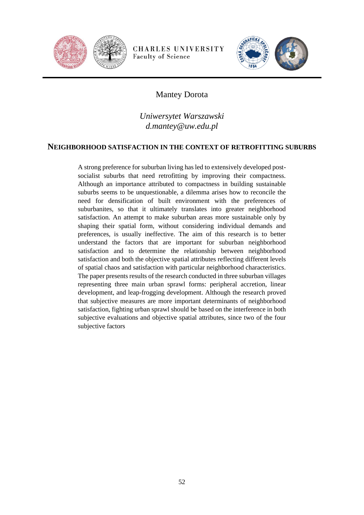



## Mantey Dorota

*Uniwersytet Warszawski d.mantey@uw.edu.pl*

#### **NEIGHBORHOOD SATISFACTION IN THE CONTEXT OF RETROFITTING SUBURBS**

A strong preference for suburban living has led to extensively developed postsocialist suburbs that need retrofitting by improving their compactness. Although an importance attributed to compactness in building sustainable suburbs seems to be unquestionable, a dilemma arises how to reconcile the need for densification of built environment with the preferences of suburbanites, so that it ultimately translates into greater neighborhood satisfaction. An attempt to make suburban areas more sustainable only by shaping their spatial form, without considering individual demands and preferences, is usually ineffective. The aim of this research is to better understand the factors that are important for suburban neighborhood satisfaction and to determine the relationship between neighborhood satisfaction and both the objective spatial attributes reflecting different levels of spatial chaos and satisfaction with particular neighborhood characteristics. The paper presents results of the research conducted in three suburban villages representing three main urban sprawl forms: peripheral accretion, linear development, and leap-frogging development. Although the research proved that subjective measures are more important determinants of neighborhood satisfaction, fighting urban sprawl should be based on the interference in both subjective evaluations and objective spatial attributes, since two of the four subjective factors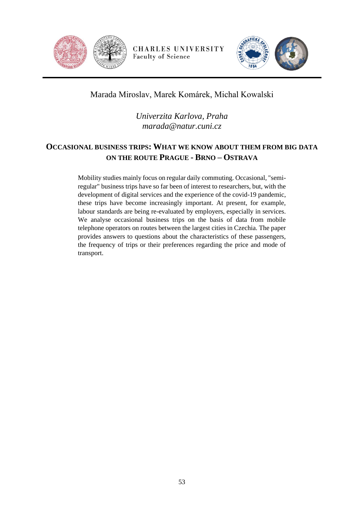



## Marada Miroslav, Marek Komárek, Michal Kowalski

*Univerzita Karlova, Praha marada@natur.cuni.cz*

## **OCCASIONAL BUSINESS TRIPS: WHAT WE KNOW ABOUT THEM FROM BIG DATA ON THE ROUTE PRAGUE - BRNO – OSTRAVA**

Mobility studies mainly focus on regular daily commuting. Occasional, "semiregular" business trips have so far been of interest to researchers, but, with the development of digital services and the experience of the covid-19 pandemic, these trips have become increasingly important. At present, for example, labour standards are being re-evaluated by employers, especially in services. We analyse occasional business trips on the basis of data from mobile telephone operators on routes between the largest cities in Czechia. The paper provides answers to questions about the characteristics of these passengers, the frequency of trips or their preferences regarding the price and mode of transport.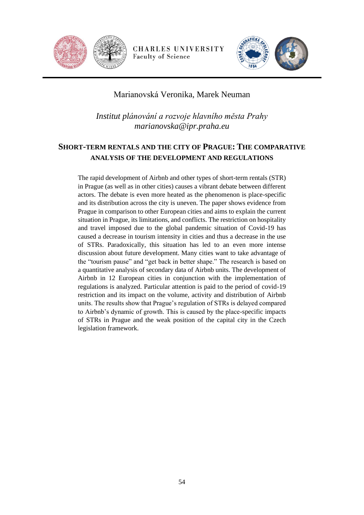



### Marianovská Veronika, Marek Neuman

*Institut plánování a rozvoje hlavního města Prahy marianovska@ipr.praha.eu*

## **SHORT-TERM RENTALS AND THE CITY OF PRAGUE: THE COMPARATIVE ANALYSIS OF THE DEVELOPMENT AND REGULATIONS**

The rapid development of Airbnb and other types of short-term rentals (STR) in Prague (as well as in other cities) causes a vibrant debate between different actors. The debate is even more heated as the phenomenon is place-specific and its distribution across the city is uneven. The paper shows evidence from Prague in comparison to other European cities and aims to explain the current situation in Prague, its limitations, and conflicts. The restriction on hospitality and travel imposed due to the global pandemic situation of Covid-19 has caused a decrease in tourism intensity in cities and thus a decrease in the use of STRs. Paradoxically, this situation has led to an even more intense discussion about future development. Many cities want to take advantage of the "tourism pause" and "get back in better shape." The research is based on a quantitative analysis of secondary data of Airbnb units. The development of Airbnb in 12 European cities in conjunction with the implementation of regulations is analyzed. Particular attention is paid to the period of covid-19 restriction and its impact on the volume, activity and distribution of Airbnb units. The results show that Prague's regulation of STRs is delayed compared to Airbnb's dynamic of growth. This is caused by the place-specific impacts of STRs in Prague and the weak position of the capital city in the Czech legislation framework.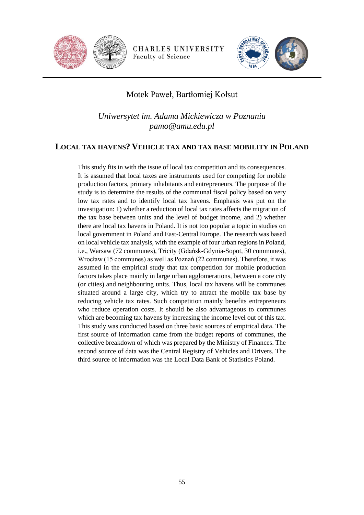



## Motek Paweł, Bartłomiej Kołsut

*Uniwersytet im. Adama Mickiewicza w Poznaniu pamo@amu.edu.pl*

#### **LOCAL TAX HAVENS? VEHICLE TAX AND TAX BASE MOBILITY IN POLAND**

This study fits in with the issue of local tax competition and its consequences. It is assumed that local taxes are instruments used for competing for mobile production factors, primary inhabitants and entrepreneurs. The purpose of the study is to determine the results of the communal fiscal policy based on very low tax rates and to identify local tax havens. Emphasis was put on the investigation: 1) whether a reduction of local tax rates affects the migration of the tax base between units and the level of budget income, and 2) whether there are local tax havens in Poland. It is not too popular a topic in studies on local government in Poland and East-Central Europe. The research was based on local vehicle tax analysis, with the example of four urban regions in Poland, i.e., Warsaw (72 communes), Tricity (Gdańsk-Gdynia-Sopot, 30 communes), Wrocław (15 communes) as well as Poznań (22 communes). Therefore, it was assumed in the empirical study that tax competition for mobile production factors takes place mainly in large urban agglomerations, between a core city (or cities) and neighbouring units. Thus, local tax havens will be communes situated around a large city, which try to attract the mobile tax base by reducing vehicle tax rates. Such competition mainly benefits entrepreneurs who reduce operation costs. It should be also advantageous to communes which are becoming tax havens by increasing the income level out of this tax. This study was conducted based on three basic sources of empirical data. The first source of information came from the budget reports of communes, the collective breakdown of which was prepared by the Ministry of Finances. The second source of data was the Central Registry of Vehicles and Drivers. The third source of information was the Local Data Bank of Statistics Poland.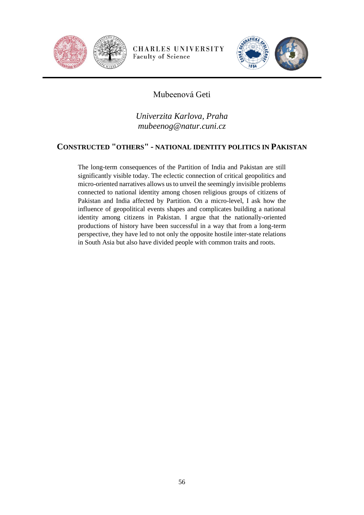



## Mubeenová Geti

*Univerzita Karlova, Praha mubeenog@natur.cuni.cz*

### **CONSTRUCTED "OTHERS" - NATIONAL IDENTITY POLITICS IN PAKISTAN**

The long-term consequences of the Partition of India and Pakistan are still significantly visible today. The eclectic connection of critical geopolitics and micro-oriented narratives allows us to unveil the seemingly invisible problems connected to national identity among chosen religious groups of citizens of Pakistan and India affected by Partition. On a micro-level, I ask how the influence of geopolitical events shapes and complicates building a national identity among citizens in Pakistan. I argue that the nationally-oriented productions of history have been successful in a way that from a long-term perspective, they have led to not only the opposite hostile inter-state relations in South Asia but also have divided people with common traits and roots.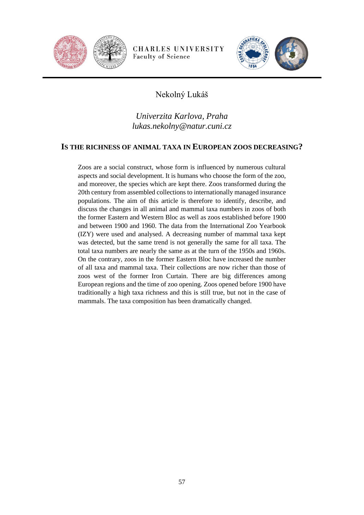



## Nekolný Lukáš

## *Univerzita Karlova, Praha lukas.nekolny@natur.cuni.cz*

#### **IS THE RICHNESS OF ANIMAL TAXA IN EUROPEAN ZOOS DECREASING?**

Zoos are a social construct, whose form is influenced by numerous cultural aspects and social development. It is humans who choose the form of the zoo, and moreover, the species which are kept there. Zoos transformed during the 20th century from assembled collections to internationally managed insurance populations. The aim of this article is therefore to identify, describe, and discuss the changes in all animal and mammal taxa numbers in zoos of both the former Eastern and Western Bloc as well as zoos established before 1900 and between 1900 and 1960. The data from the International Zoo Yearbook (IZY) were used and analysed. A decreasing number of mammal taxa kept was detected, but the same trend is not generally the same for all taxa. The total taxa numbers are nearly the same as at the turn of the 1950s and 1960s. On the contrary, zoos in the former Eastern Bloc have increased the number of all taxa and mammal taxa. Their collections are now richer than those of zoos west of the former Iron Curtain. There are big differences among European regions and the time of zoo opening. Zoos opened before 1900 have traditionally a high taxa richness and this is still true, but not in the case of mammals. The taxa composition has been dramatically changed.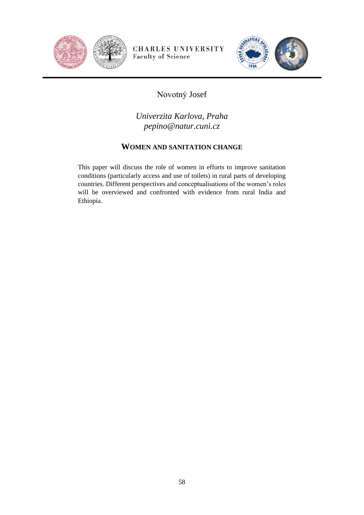



# Novotný Josef

*Univerzita Karlova, Praha pepino@natur.cuni.cz*

### **WOMEN AND SANITATION CHANGE**

This paper will discuss the role of women in efforts to improve sanitation conditions (particularly access and use of toilets) in rural parts of developing countries. Different perspectives and conceptualisations of the women's roles will be overviewed and confronted with evidence from rural India and Ethiopia.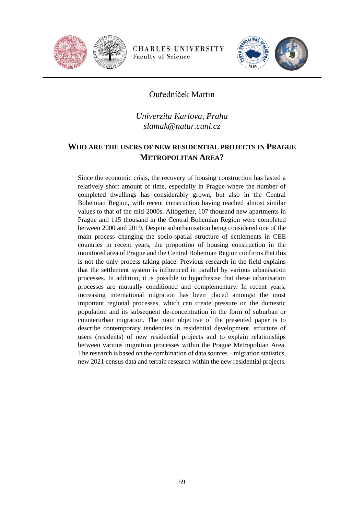



### Ouředníček Martin

*Univerzita Karlova, Praha slamak@natur.cuni.cz*

### **WHO ARE THE USERS OF NEW RESIDENTIAL PROJECTS IN PRAGUE METROPOLITAN AREA?**

Since the economic crisis, the recovery of housing construction has lasted a relatively short amount of time, especially in Prague where the number of completed dwellings has considerably grown, but also in the Central Bohemian Region, with recent construction having reached almost similar values to that of the mid-2000s. Altogether, 107 thousand new apartments in Prague and 115 thousand in the Central Bohemian Region were completed between 2000 and 2019. Despite suburbanisation being considered one of the main process changing the socio-spatial structure of settlements in CEE countries in recent years, the proportion of housing construction in the monitored area of Prague and the Central Bohemian Region confirms that this is not the only process taking place. Previous research in the field explains that the settlement system is influenced in parallel by various urbanisation processes. In addition, it is possible to hypothesise that these urbanisation processes are mutually conditioned and complementary. In recent years, increasing international migration has been placed amongst the most important regional processes, which can create pressure on the domestic population and its subsequent de-concentration in the form of suburban or counterurban migration. The main objective of the presented paper is to describe contemporary tendencies in residential development, structure of users (residents) of new residential projects and to explain relationships between various migration processes within the Prague Metropolitan Area. The research is based on the combination of data sources – migration statistics, new 2021 census data and terrain research within the new residential projects.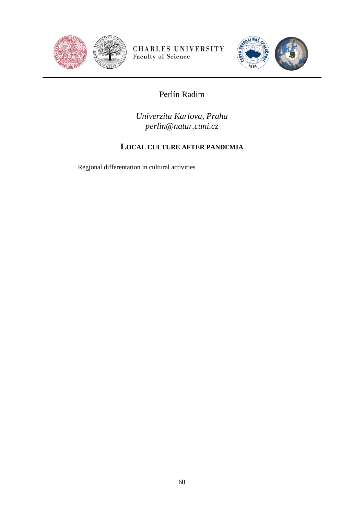



# Perlín Radim

*Univerzita Karlova, Praha perlin@natur.cuni.cz*

## **LOCAL CULTURE AFTER PANDEMIA**

Regjonal differentation in cultural activities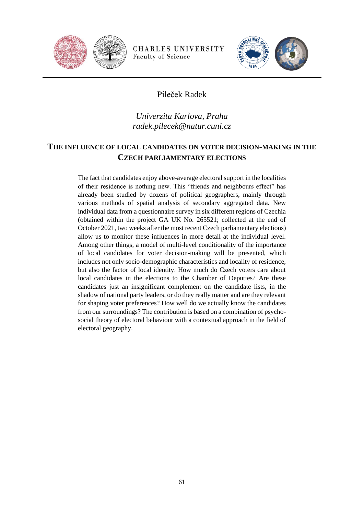



## Pileček Radek

## *Univerzita Karlova, Praha radek.pilecek@natur.cuni.cz*

### **THE INFLUENCE OF LOCAL CANDIDATES ON VOTER DECISION-MAKING IN THE CZECH PARLIAMENTARY ELECTIONS**

The fact that candidates enjoy above-average electoral support in the localities of their residence is nothing new. This "friends and neighbours effect" has already been studied by dozens of political geographers, mainly through various methods of spatial analysis of secondary aggregated data. New individual data from a questionnaire survey in six different regions of Czechia (obtained within the project GA UK No. 265521; collected at the end of October 2021, two weeks after the most recent Czech parliamentary elections) allow us to monitor these influences in more detail at the individual level. Among other things, a model of multi-level conditionality of the importance of local candidates for voter decision-making will be presented, which includes not only socio-demographic characteristics and locality of residence, but also the factor of local identity. How much do Czech voters care about local candidates in the elections to the Chamber of Deputies? Are these candidates just an insignificant complement on the candidate lists, in the shadow of national party leaders, or do they really matter and are they relevant for shaping voter preferences? How well do we actually know the candidates from our surroundings? The contribution is based on a combination of psychosocial theory of electoral behaviour with a contextual approach in the field of electoral geography.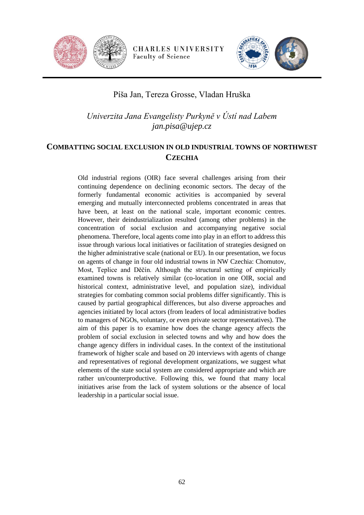



### Píša Jan, Tereza Grosse, Vladan Hruška

*Univerzita Jana Evangelisty Purkyně v Ústí nad Labem jan.pisa@ujep.cz*

### **COMBATTING SOCIAL EXCLUSION IN OLD INDUSTRIAL TOWNS OF NORTHWEST CZECHIA**

Old industrial regions (OIR) face several challenges arising from their continuing dependence on declining economic sectors. The decay of the formerly fundamental economic activities is accompanied by several emerging and mutually interconnected problems concentrated in areas that have been, at least on the national scale, important economic centres. However, their deindustrialization resulted (among other problems) in the concentration of social exclusion and accompanying negative social phenomena. Therefore, local agents come into play in an effort to address this issue through various local initiatives or facilitation of strategies designed on the higher administrative scale (national or EU). In our presentation, we focus on agents of change in four old industrial towns in NW Czechia: Chomutov, Most, Teplice and Děčín. Although the structural setting of empirically examined towns is relatively similar (co-location in one OIR, social and historical context, administrative level, and population size), individual strategies for combating common social problems differ significantly. This is caused by partial geographical differences, but also diverse approaches and agencies initiated by local actors (from leaders of local administrative bodies to managers of NGOs, voluntary, or even private sector representatives). The aim of this paper is to examine how does the change agency affects the problem of social exclusion in selected towns and why and how does the change agency differs in individual cases. In the context of the institutional framework of higher scale and based on 20 interviews with agents of change and representatives of regional development organizations, we suggest what elements of the state social system are considered appropriate and which are rather un/counterproductive. Following this, we found that many local initiatives arise from the lack of system solutions or the absence of local leadership in a particular social issue.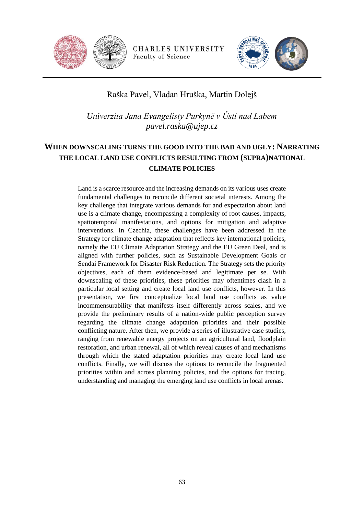



## Raška Pavel, Vladan Hruška, Martin Dolejš

*Univerzita Jana Evangelisty Purkyně v Ústí nad Labem pavel.raska@ujep.cz*

## **WHEN DOWNSCALING TURNS THE GOOD INTO THE BAD AND UGLY: NARRATING THE LOCAL LAND USE CONFLICTS RESULTING FROM (SUPRA)NATIONAL CLIMATE POLICIES**

Land is a scarce resource and the increasing demands on its various uses create fundamental challenges to reconcile different societal interests. Among the key challenge that integrate various demands for and expectation about land use is a climate change, encompassing a complexity of root causes, impacts, spatiotemporal manifestations, and options for mitigation and adaptive interventions. In Czechia, these challenges have been addressed in the Strategy for climate change adaptation that reflects key international policies, namely the EU Climate Adaptation Strategy and the EU Green Deal, and is aligned with further policies, such as Sustainable Development Goals or Sendai Framework for Disaster Risk Reduction. The Strategy sets the priority objectives, each of them evidence-based and legitimate per se. With downscaling of these priorities, these priorities may oftentimes clash in a particular local setting and create local land use conflicts, however. In this presentation, we first conceptualize local land use conflicts as value incommensurability that manifests itself differently across scales, and we provide the preliminary results of a nation-wide public perception survey regarding the climate change adaptation priorities and their possible conflicting nature. After then, we provide a series of illustrative case studies, ranging from renewable energy projects on an agricultural land, floodplain restoration, and urban renewal, all of which reveal causes of and mechanisms through which the stated adaptation priorities may create local land use conflicts. Finally, we will discuss the options to reconcile the fragmented priorities within and across planning policies, and the options for tracing, understanding and managing the emerging land use conflicts in local arenas.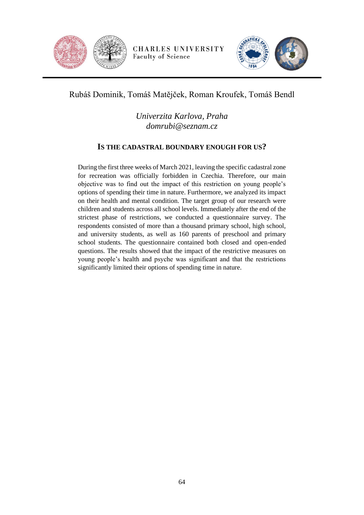



## Rubáš Dominik, Tomáš Matějček, Roman Kroufek, Tomáš Bendl

*Univerzita Karlova, Praha domrubi@seznam.cz*

#### **IS THE CADASTRAL BOUNDARY ENOUGH FOR US?**

During the first three weeks of March 2021, leaving the specific cadastral zone for recreation was officially forbidden in Czechia. Therefore, our main objective was to find out the impact of this restriction on young people's options of spending their time in nature. Furthermore, we analyzed its impact on their health and mental condition. The target group of our research were children and students across all school levels. Immediately after the end of the strictest phase of restrictions, we conducted a questionnaire survey. The respondents consisted of more than a thousand primary school, high school, and university students, as well as 160 parents of preschool and primary school students. The questionnaire contained both closed and open-ended questions. The results showed that the impact of the restrictive measures on young people's health and psyche was significant and that the restrictions significantly limited their options of spending time in nature.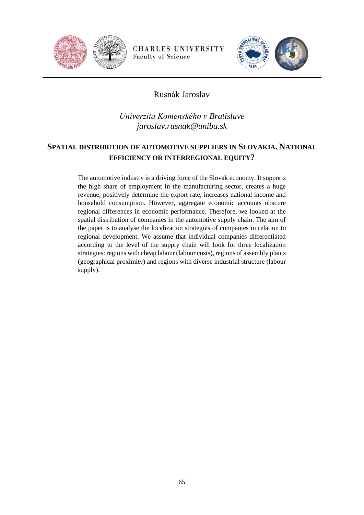



## Rusnák Jaroslav

*Univerzita Komenského v Bratislave jaroslav.rusnak@uniba.sk*

## **SPATIAL DISTRIBUTION OF AUTOMOTIVE SUPPLIERS IN SLOVAKIA. NATIONAL EFFICIENCY OR INTERREGIONAL EQUITY?**

The automotive industry is a driving force of the Slovak economy. It supports the high share of employment in the manufacturing sector, creates a huge revenue, positively determine the export rate, increases national income and household consumption. However, aggregate economic accounts obscure regional differences in economic performance. Therefore, we looked at the spatial distribution of companies in the automotive supply chain. The aim of the paper is to analyse the localization strategies of companies in relation to regional development. We assume that individual companies differentiated according to the level of the supply chain will look for three localization strategies: regions with cheap labour (labour costs), regions of assembly plants (geographical proximity) and regions with diverse industrial structure (labour supply).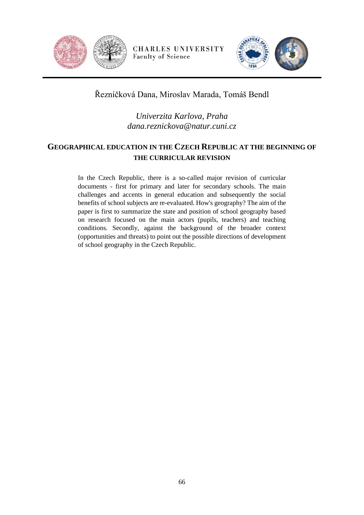



## Řezníčková Dana, Miroslav Marada, Tomáš Bendl

## *Univerzita Karlova, Praha dana.reznickova@natur.cuni.cz*

## **GEOGRAPHICAL EDUCATION IN THE CZECH REPUBLIC AT THE BEGINNING OF THE CURRICULAR REVISION**

In the Czech Republic, there is a so-called major revision of curricular documents - first for primary and later for secondary schools. The main challenges and accents in general education and subsequently the social benefits of school subjects are re-evaluated. How's geography? The aim of the paper is first to summarize the state and position of school geography based on research focused on the main actors (pupils, teachers) and teaching conditions. Secondly, against the background of the broader context (opportunities and threats) to point out the possible directions of development of school geography in the Czech Republic.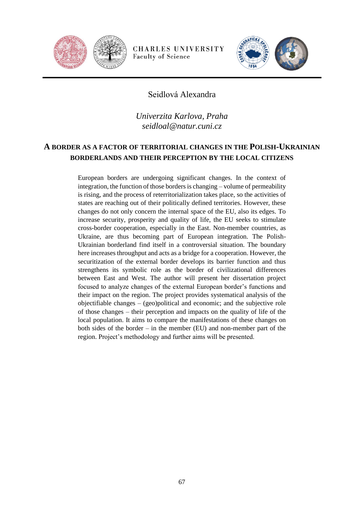



#### Seidlová Alexandra

*Univerzita Karlova, Praha seidloal@natur.cuni.cz*

## **A BORDER AS A FACTOR OF TERRITORIAL CHANGES IN THE POLISH-UKRAINIAN BORDERLANDS AND THEIR PERCEPTION BY THE LOCAL CITIZENS**

European borders are undergoing significant changes. In the context of integration, the function of those borders is changing – volume of permeability is rising, and the process of reterritorialization takes place, so the activities of states are reaching out of their politically defined territories. However, these changes do not only concern the internal space of the EU, also its edges. To increase security, prosperity and quality of life, the EU seeks to stimulate cross-border cooperation, especially in the East. Non-member countries, as Ukraine, are thus becoming part of European integration. The Polish-Ukrainian borderland find itself in a controversial situation. The boundary here increases throughput and acts as a bridge for a cooperation. However, the securitization of the external border develops its barrier function and thus strengthens its symbolic role as the border of civilizational differences between East and West. The author will present her dissertation project focused to analyze changes of the external European border's functions and their impact on the region. The project provides systematical analysis of the objectifiable changes – (geo)political and economic; and the subjective role of those changes – their perception and impacts on the quality of life of the local population. It aims to compare the manifestations of these changes on both sides of the border – in the member (EU) and non-member part of the region. Project's methodology and further aims will be presented.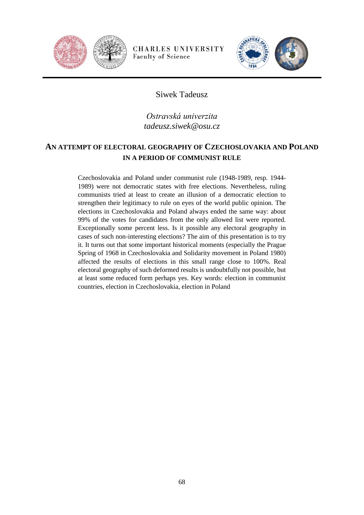



### Siwek Tadeusz

## *Ostravská univerzita tadeusz.siwek@osu.cz*

## **AN ATTEMPT OF ELECTORAL GEOGRAPHY OF CZECHOSLOVAKIA AND POLAND IN A PERIOD OF COMMUNIST RULE**

Czechoslovakia and Poland under communist rule (1948-1989, resp. 1944- 1989) were not democratic states with free elections. Nevertheless, ruling communists tried at least to create an illusion of a democratic election to strengthen their legitimacy to rule on eyes of the world public opinion. The elections in Czechoslovakia and Poland always ended the same way: about 99% of the votes for candidates from the only allowed list were reported. Exceptionally some percent less. Is it possible any electoral geography in cases of such non-interesting elections? The aim of this presentation is to try it. It turns out that some important historical moments (especially the Prague Spring of 1968 in Czechoslovakia and Solidarity movement in Poland 1980) affected the results of elections in this small range close to 100%. Real electoral geography of such deformed results is undoubtfully not possible, but at least some reduced form perhaps yes. Key words: election in communist countries, election in Czechoslovakia, election in Poland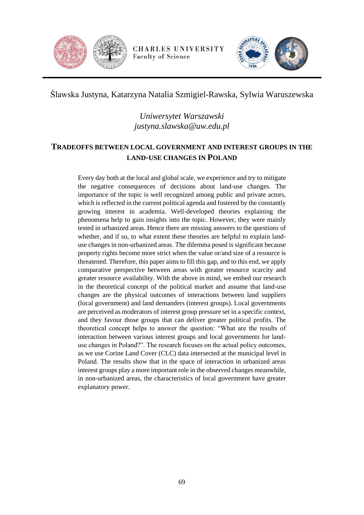



Ślawska Justyna, Katarzyna Natalia Szmigiel-Rawska, Sylwia Waruszewska

*Uniwersytet Warszawski justyna.slawska@uw.edu.pl*

## **TRADEOFFS BETWEEN LOCAL GOVERNMENT AND INTEREST GROUPS IN THE LAND-USE CHANGES IN POLAND**

Every day both at the local and global scale, we experience and try to mitigate the negative consequences of decisions about land-use changes. The importance of the topic is well recognized among public and private actors, which is reflected in the current political agenda and fostered by the constantly growing interest in academia. Well-developed theories explaining the phenomena help to gain insights into the topic. However, they were mainly tested in urbanized areas. Hence there are missing answers to the questions of whether, and if so, to what extent these theories are helpful to explain landuse changes in non-urbanized areas. The dilemma posed is significant because property rights become more strict when the value or/and size of a resource is threatened. Therefore, this paper aims to fill this gap, and to this end, we apply comparative perspective between areas with greater resource scarcity and greater resource availability. With the above in mind, we embed our research in the theoretical concept of the political market and assume that land-use changes are the physical outcomes of interactions between land suppliers (local government) and land demanders (interest groups). Local governments are perceived as moderators of interest group pressure set in a specific context, and they favour those groups that can deliver greater political profits. The theoretical concept helps to answer the question: "What are the results of interaction between various interest groups and local governments for landuse changes in Poland?". The research focuses on the actual policy outcomes, as we use Corine Land Cover (CLC) data intersected at the municipal level in Poland. The results show that in the space of interaction in urbanized areas interest groups play a more important role in the observed changes meanwhile, in non-urbanized areas, the characteristics of local government have greater explanatory power.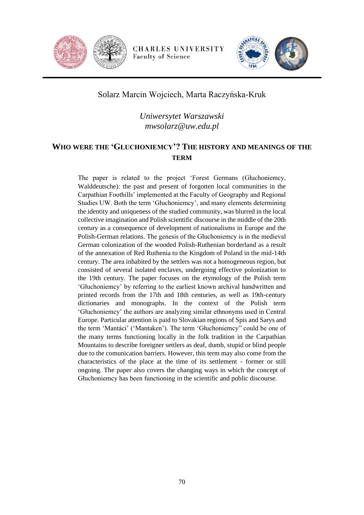



## Solarz Marcin Wojciech, Marta Raczyńska-Kruk

## *Uniwersytet Warszawski mwsolarz@uw.edu.pl*

## **WHO WERE THE 'GŁUCHONIEMCY'? THE HISTORY AND MEANINGS OF THE TERM**

The paper is related to the project 'Forest Germans (Głuchoniemcy, Walddeutsche): the past and present of forgotten local communities in the Carpathian Foothills' implemented at the Faculty of Geography and Regional Studies UW. Both the term 'Głuchoniemcy', and many elements determining the identity and uniqueness of the studied community, was blurred in the local collective imagination and Polish scientific discourse in the middle of the 20th century as a consequence of development of nationalisms in Europe and the Polish-German relations. The genesis of the Głuchoniemcy is in the medieval German colonization of the wooded Polish-Ruthenian borderland as a result of the annexation of Red Ruthenia to the Kingdom of Poland in the mid-14th century. The area inhabited by the settlers was not a homogeneous region, but consisted of several isolated enclaves, undergoing effective polonization to the 19th century. The paper focuses on the etymology of the Polish term 'Głuchoniemcy' by referring to the earliest known archival handwritten and printed records from the 17th and 18th centuries, as well as 19th-century dictionaries and monographs. In the context of the Polish term 'Głuchoniemcy' the authors are analyzing similar ethnonyms used in Central Europe. Particular attention is paid to Slovakian regions of Spis and Sarys and the term 'Mantáci' ('Mantaken'). The term 'Głuchoniemcy" could be one of the many terms functioning locally in the folk tradition in the Carpathian Mountains to describe foreigner settlers as deaf, dumb, stupid or blind people due to the comunication barriers. However, this term may also come from the characteristics of the place at the time of its settlement - former or still ongoing. The paper also covers the changing ways in which the concept of Głuchoniemcy has been functioning in the scientific and public discourse.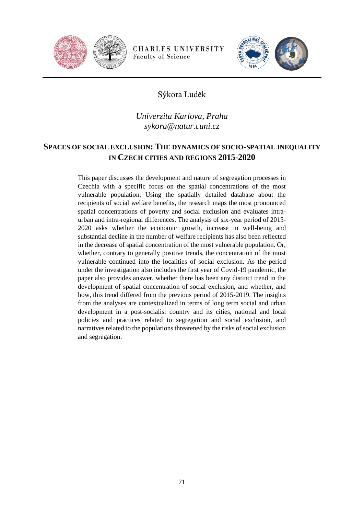



## Sýkora Luděk

## *Univerzita Karlova, Praha sykora@natur.cuni.cz*

## **SPACES OF SOCIAL EXCLUSION: THE DYNAMICS OF SOCIO-SPATIAL INEQUALITY IN CZECH CITIES AND REGIONS 2015-2020**

This paper discusses the development and nature of segregation processes in Czechia with a specific focus on the spatial concentrations of the most vulnerable population. Using the spatially detailed database about the recipients of social welfare benefits, the research maps the most pronounced spatial concentrations of poverty and social exclusion and evaluates intraurban and intra-regional differences. The analysis of six-year period of 2015- 2020 asks whether the economic growth, increase in well-being and substantial decline in the number of welfare recipients has also been reflected in the decrease of spatial concentration of the most vulnerable population. Or, whether, contrary to generally positive trends, the concentration of the most vulnerable continued into the localities of social exclusion. As the period under the investigation also includes the first year of Covid-19 pandemic, the paper also provides answer, whether there has been any distinct trend in the development of spatial concentration of social exclusion, and whether, and how, this trend differed from the previous period of 2015-2019. The insights from the analyses are contextualized in terms of long term social and urban development in a post-socialist country and its cities, national and local policies and practices related to segregation and social exclusion, and narratives related to the populations threatened by the risks of social exclusion and segregation.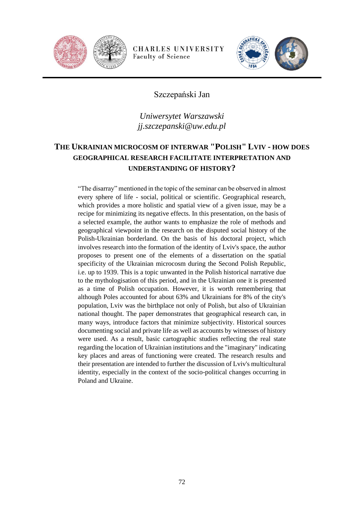



### Szczepański Jan

## *Uniwersytet Warszawski jj.szczepanski@uw.edu.pl*

## **THE UKRAINIAN MICROCOSM OF INTERWAR "POLISH" LVIV - HOW DOES GEOGRAPHICAL RESEARCH FACILITATE INTERPRETATION AND UNDERSTANDING OF HISTORY?**

"The disarray" mentioned in the topic of the seminar can be observed in almost every sphere of life - social, political or scientific. Geographical research, which provides a more holistic and spatial view of a given issue, may be a recipe for minimizing its negative effects. In this presentation, on the basis of a selected example, the author wants to emphasize the role of methods and geographical viewpoint in the research on the disputed social history of the Polish-Ukrainian borderland. On the basis of his doctoral project, which involves research into the formation of the identity of Lviv's space, the author proposes to present one of the elements of a dissertation on the spatial specificity of the Ukrainian microcosm during the Second Polish Republic, i.e. up to 1939. This is a topic unwanted in the Polish historical narrative due to the mythologisation of this period, and in the Ukrainian one it is presented as a time of Polish occupation. However, it is worth remembering that although Poles accounted for about 63% and Ukrainians for 8% of the city's population, Lviv was the birthplace not only of Polish, but also of Ukrainian national thought. The paper demonstrates that geographical research can, in many ways, introduce factors that minimize subjectivity. Historical sources documenting social and private life as well as accounts by witnesses of history were used. As a result, basic cartographic studies reflecting the real state regarding the location of Ukrainian institutions and the "imaginary" indicating key places and areas of functioning were created. The research results and their presentation are intended to further the discussion of Lviv's multicultural identity, especially in the context of the socio-political changes occurring in Poland and Ukraine.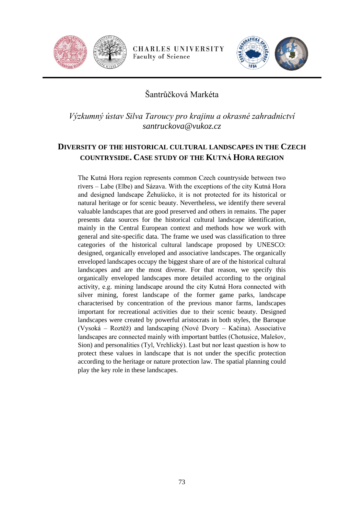



## Šantrůčková Markéta

*Výzkumný ústav Silva Taroucy pro krajinu a okrasné zahradnictví santruckova@vukoz.cz*

### **DIVERSITY OF THE HISTORICAL CULTURAL LANDSCAPES IN THE CZECH COUNTRYSIDE. CASE STUDY OF THE KUTNÁ HORA REGION**

The Kutná Hora region represents common Czech countryside between two rivers – Labe (Elbe) and Sázava. With the exceptions of the city Kutná Hora and designed landscape Žehušicko, it is not protected for its historical or natural heritage or for scenic beauty. Nevertheless, we identify there several valuable landscapes that are good preserved and others in remains. The paper presents data sources for the historical cultural landscape identification, mainly in the Central European context and methods how we work with general and site-specific data. The frame we used was classification to three categories of the historical cultural landscape proposed by UNESCO: designed, organically enveloped and associative landscapes. The organically enveloped landscapes occupy the biggest share of are of the historical cultural landscapes and are the most diverse. For that reason, we specify this organically enveloped landscapes more detailed according to the original activity, e.g. mining landscape around the city Kutná Hora connected with silver mining, forest landscape of the former game parks, landscape characterised by concentration of the previous manor farms, landscapes important for recreational activities due to their scenic beauty. Designed landscapes were created by powerful aristocrats in both styles, the Baroque (Vysoká – Roztěž) and landscaping (Nové Dvory – Kačina). Associative landscapes are connected mainly with important battles (Chotusice, Malešov, Sion) and personalities (Tyl, Vrchlický). Last but nor least question is how to protect these values in landscape that is not under the specific protection according to the heritage or nature protection law. The spatial planning could play the key role in these landscapes.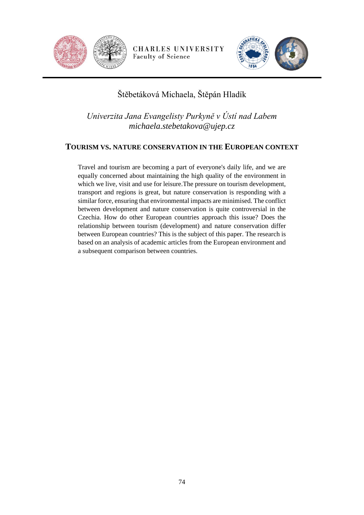



# Štěbetáková Michaela, Štěpán Hladík

*Univerzita Jana Evangelisty Purkyně v Ústí nad Labem michaela.stebetakova@ujep.cz*

#### **TOURISM VS. NATURE CONSERVATION IN THE EUROPEAN CONTEXT**

Travel and tourism are becoming a part of everyone's daily life, and we are equally concerned about maintaining the high quality of the environment in which we live, visit and use for leisure.The pressure on tourism development, transport and regions is great, but nature conservation is responding with a similar force, ensuring that environmental impacts are minimised. The conflict between development and nature conservation is quite controversial in the Czechia. How do other European countries approach this issue? Does the relationship between tourism (development) and nature conservation differ between European countries? This is the subject of this paper. The research is based on an analysis of academic articles from the European environment and a subsequent comparison between countries.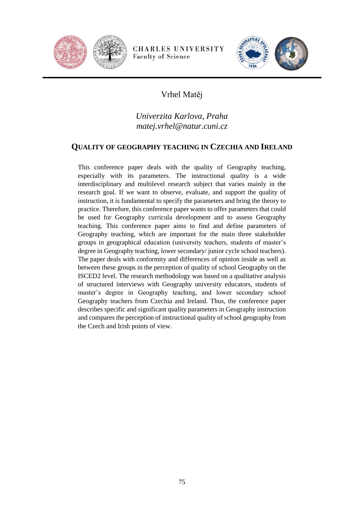



# Vrhel Matěj

*Univerzita Karlova, Praha matej.vrhel@natur.cuni.cz*

#### **QUALITY OF GEOGRAPHY TEACHING IN CZECHIA AND IRELAND**

This conference paper deals with the quality of Geography teaching, especially with its parameters. The instructional quality is a wide interdisciplinary and multilevel research subject that varies mainly in the research goal. If we want to observe, evaluate, and support the quality of instruction, it is fundamental to specify the parameters and bring the theory to practice. Therefore, this conference paper wants to offer parameters that could be used for Geography curricula development and to assess Geography teaching. This conference paper aims to find and define parameters of Geography teaching, which are important for the main three stakeholder groups in geographical education (university teachers, students of master's degree in Geography teaching, lower secondary/ junior cycle school teachers). The paper deals with conformity and differences of opinion inside as well as between these groups in the perception of quality of school Geography on the ISCED2 level. The research methodology was based on a qualitative analysis of structured interviews with Geography university educators, students of master's degree in Geography teaching, and lower secondary school Geography teachers from Czechia and Ireland. Thus, the conference paper describes specific and significant quality parameters in Geography instruction and compares the perception of instructional quality of school geography from the Czech and Irish points of view.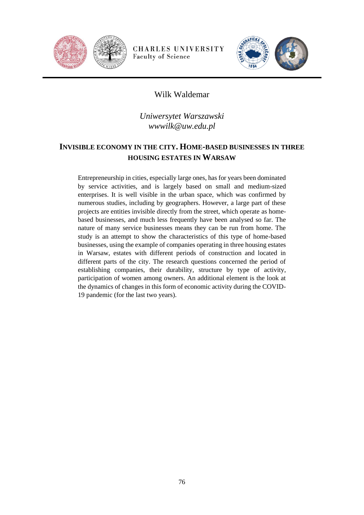



#### Wilk Waldemar

*Uniwersytet Warszawski wwwilk@uw.edu.pl*

### **INVISIBLE ECONOMY IN THE CITY. HOME-BASED BUSINESSES IN THREE HOUSING ESTATES IN WARSAW**

Entrepreneurship in cities, especially large ones, has for years been dominated by service activities, and is largely based on small and medium-sized enterprises. It is well visible in the urban space, which was confirmed by numerous studies, including by geographers. However, a large part of these projects are entities invisible directly from the street, which operate as homebased businesses, and much less frequently have been analysed so far. The nature of many service businesses means they can be run from home. The study is an attempt to show the characteristics of this type of home-based businesses, using the example of companies operating in three housing estates in Warsaw, estates with different periods of construction and located in different parts of the city. The research questions concerned the period of establishing companies, their durability, structure by type of activity, participation of women among owners. An additional element is the look at the dynamics of changes in this form of economic activity during the COVID-19 pandemic (for the last two years).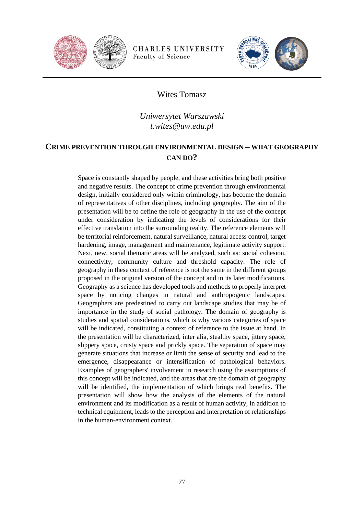



#### Wites Tomasz

### *Uniwersytet Warszawski t.wites@uw.edu.pl*

#### **CRIME PREVENTION THROUGH ENVIRONMENTAL DESIGN – WHAT GEOGRAPHY CAN DO?**

Space is constantly shaped by people, and these activities bring both positive and negative results. The concept of crime prevention through environmental design, initially considered only within criminology, has become the domain of representatives of other disciplines, including geography. The aim of the presentation will be to define the role of geography in the use of the concept under consideration by indicating the levels of considerations for their effective translation into the surrounding reality. The reference elements will be territorial reinforcement, natural surveillance, natural access control, target hardening, image, management and maintenance, legitimate activity support. Next, new, social thematic areas will be analyzed, such as: social cohesion, connectivity, community culture and threshold capacity. The role of geography in these context of reference is not the same in the different groups proposed in the original version of the concept and in its later modifications. Geography as a science has developed tools and methods to properly interpret space by noticing changes in natural and anthropogenic landscapes. Geographers are predestined to carry out landscape studies that may be of importance in the study of social pathology. The domain of geography is studies and spatial considerations, which is why various categories of space will be indicated, constituting a context of reference to the issue at hand. In the presentation will be characterized, inter alia, stealthy space, jittery space, slippery space, crusty space and prickly space. The separation of space may generate situations that increase or limit the sense of security and lead to the emergence, disappearance or intensification of pathological behaviors. Examples of geographers' involvement in research using the assumptions of this concept will be indicated, and the areas that are the domain of geography will be identified, the implementation of which brings real benefits. The presentation will show how the analysis of the elements of the natural environment and its modification as a result of human activity, in addition to technical equipment, leads to the perception and interpretation of relationships in the human-environment context.